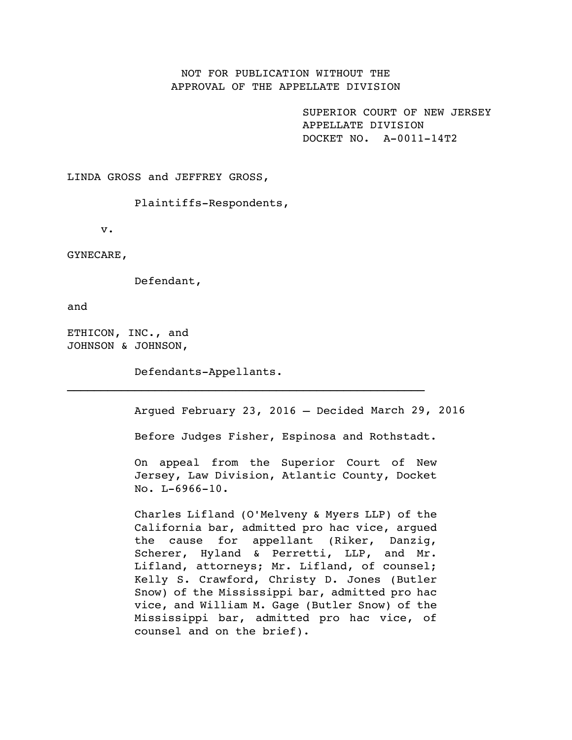# NOT FOR PUBLICATION WITHOUT THE APPROVAL OF THE APPELLATE DIVISION

SUPERIOR COURT OF NEW JERSEY APPELLATE DIVISION DOCKET NO. A-0011-14T2

LINDA GROSS and JEFFREY GROSS,

Plaintiffs-Respondents,

v.

GYNECARE,

Defendant,

and

ETHICON, INC., and JOHNSON & JOHNSON,

Defendants-Appellants.

Argued February 23, 2016 – Decided March 29, 2016

Before Judges Fisher, Espinosa and Rothstadt.

On appeal from the Superior Court of New Jersey, Law Division, Atlantic County, Docket No. L-6966-10.

Charles Lifland (O'Melveny & Myers LLP) of the California bar, admitted pro hac vice, argued the cause for appellant (Riker, Danzig, Scherer, Hyland & Perretti, LLP, and Mr. Lifland, attorneys; Mr. Lifland, of counsel; Kelly S. Crawford, Christy D. Jones (Butler Snow) of the Mississippi bar, admitted pro hac vice, and William M. Gage (Butler Snow) of the Mississippi bar, admitted pro hac vice, of counsel and on the brief).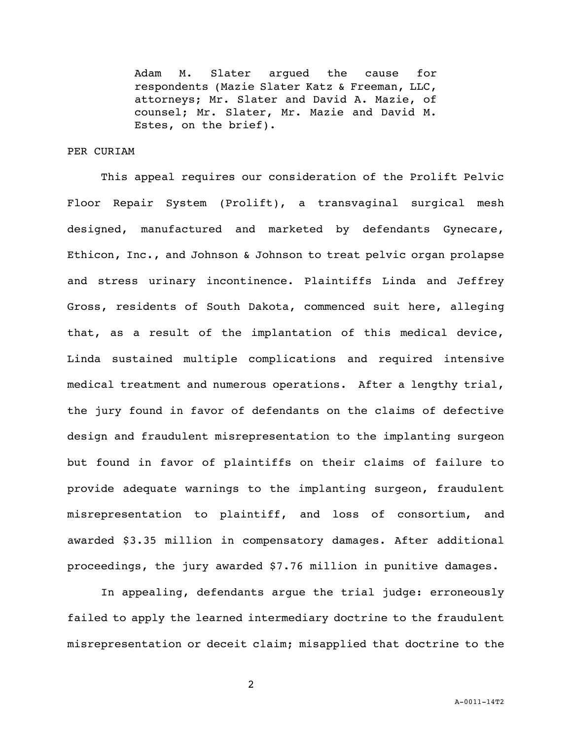Adam M. Slater argued the cause for respondents (Mazie Slater Katz & Freeman, LLC, attorneys; Mr. Slater and David A. Mazie, of counsel; Mr. Slater, Mr. Mazie and David M. Estes, on the brief).

# PER CURIAM

This appeal requires our consideration of the Prolift Pelvic Floor Repair System (Prolift), a transvaginal surgical mesh designed, manufactured and marketed by defendants Gynecare, Ethicon, Inc., and Johnson & Johnson to treat pelvic organ prolapse and stress urinary incontinence. Plaintiffs Linda and Jeffrey Gross, residents of South Dakota, commenced suit here, alleging that, as a result of the implantation of this medical device, Linda sustained multiple complications and required intensive medical treatment and numerous operations. After a lengthy trial, the jury found in favor of defendants on the claims of defective design and fraudulent misrepresentation to the implanting surgeon but found in favor of plaintiffs on their claims of failure to provide adequate warnings to the implanting surgeon, fraudulent misrepresentation to plaintiff, and loss of consortium, and awarded \$3.35 million in compensatory damages. After additional proceedings, the jury awarded \$7.76 million in punitive damages.

In appealing, defendants argue the trial judge: erroneously failed to apply the learned intermediary doctrine to the fraudulent misrepresentation or deceit claim; misapplied that doctrine to the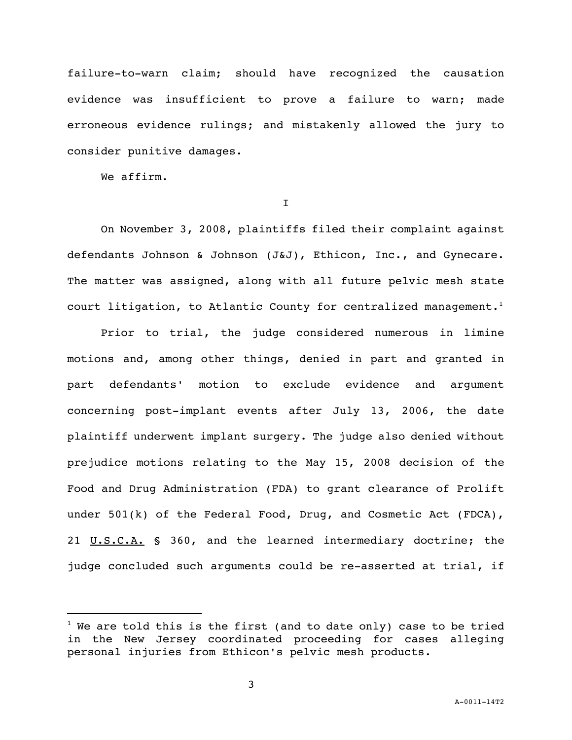failure-to-warn claim; should have recognized the causation evidence was insufficient to prove a failure to warn; made erroneous evidence rulings; and mistakenly allowed the jury to consider punitive damages.

We affirm.

i<br>L

I

On November 3, 2008, plaintiffs filed their complaint against defendants Johnson & Johnson (J&J), Ethicon, Inc., and Gynecare. The matter was assigned, along with all future pelvic mesh state court litigation, to Atlantic County for centralized management. $^{\rm l}$ 

Prior to trial, the judge considered numerous in limine motions and, among other things, denied in part and granted in part defendants' motion to exclude evidence and argument concerning post-implant events after July 13, 2006, the date plaintiff underwent implant surgery. The judge also denied without prejudice motions relating to the May 15, 2008 decision of the Food and Drug Administration (FDA) to grant clearance of Prolift under 501(k) of the Federal Food, Drug, and Cosmetic Act (FDCA), 21 U.S.C.A. § 360, and the learned intermediary doctrine; the judge concluded such arguments could be re-asserted at trial, if

 $1$  We are told this is the first (and to date only) case to be tried in the New Jersey coordinated proceeding for cases alleging personal injuries from Ethicon's pelvic mesh products.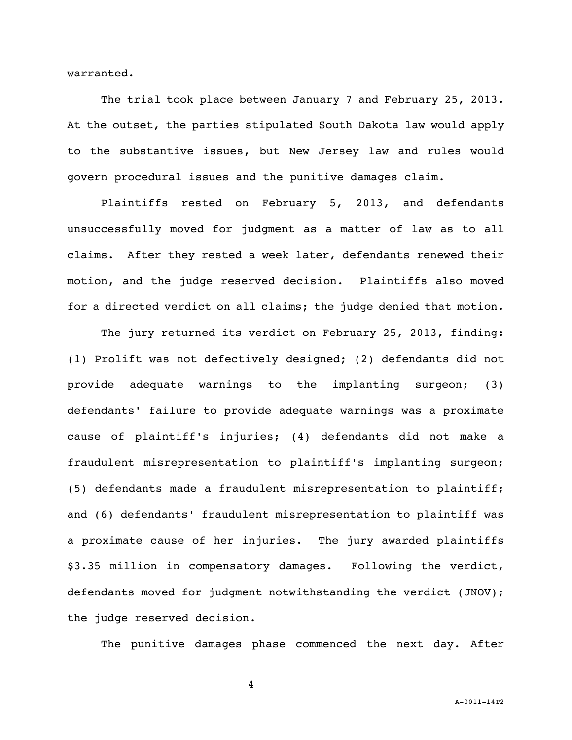warranted.

The trial took place between January 7 and February 25, 2013. At the outset, the parties stipulated South Dakota law would apply to the substantive issues, but New Jersey law and rules would govern procedural issues and the punitive damages claim.

Plaintiffs rested on February 5, 2013, and defendants unsuccessfully moved for judgment as a matter of law as to all claims. After they rested a week later, defendants renewed their motion, and the judge reserved decision. Plaintiffs also moved for a directed verdict on all claims; the judge denied that motion.

The jury returned its verdict on February 25, 2013, finding: (1) Prolift was not defectively designed; (2) defendants did not provide adequate warnings to the implanting surgeon; (3) defendants' failure to provide adequate warnings was a proximate cause of plaintiff's injuries; (4) defendants did not make a fraudulent misrepresentation to plaintiff's implanting surgeon; (5) defendants made a fraudulent misrepresentation to plaintiff; and (6) defendants' fraudulent misrepresentation to plaintiff was a proximate cause of her injuries. The jury awarded plaintiffs \$3.35 million in compensatory damages. Following the verdict, defendants moved for judgment notwithstanding the verdict (JNOV); the judge reserved decision.

The punitive damages phase commenced the next day. After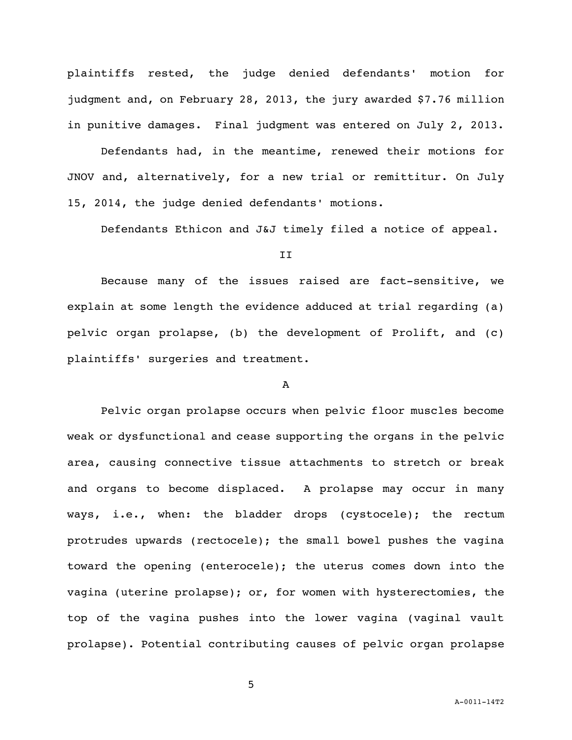plaintiffs rested, the judge denied defendants' motion for judgment and, on February 28, 2013, the jury awarded \$7.76 million in punitive damages. Final judgment was entered on July 2, 2013.

Defendants had, in the meantime, renewed their motions for JNOV and, alternatively, for a new trial or remittitur. On July 15, 2014, the judge denied defendants' motions.

Defendants Ethicon and J&J timely filed a notice of appeal.

II

Because many of the issues raised are fact-sensitive, we explain at some length the evidence adduced at trial regarding (a) pelvic organ prolapse, (b) the development of Prolift, and (c) plaintiffs' surgeries and treatment.

### A

Pelvic organ prolapse occurs when pelvic floor muscles become weak or dysfunctional and cease supporting the organs in the pelvic area, causing connective tissue attachments to stretch or break and organs to become displaced. A prolapse may occur in many ways, i.e., when: the bladder drops (cystocele); the rectum protrudes upwards (rectocele); the small bowel pushes the vagina toward the opening (enterocele); the uterus comes down into the vagina (uterine prolapse); or, for women with hysterectomies, the top of the vagina pushes into the lower vagina (vaginal vault prolapse). Potential contributing causes of pelvic organ prolapse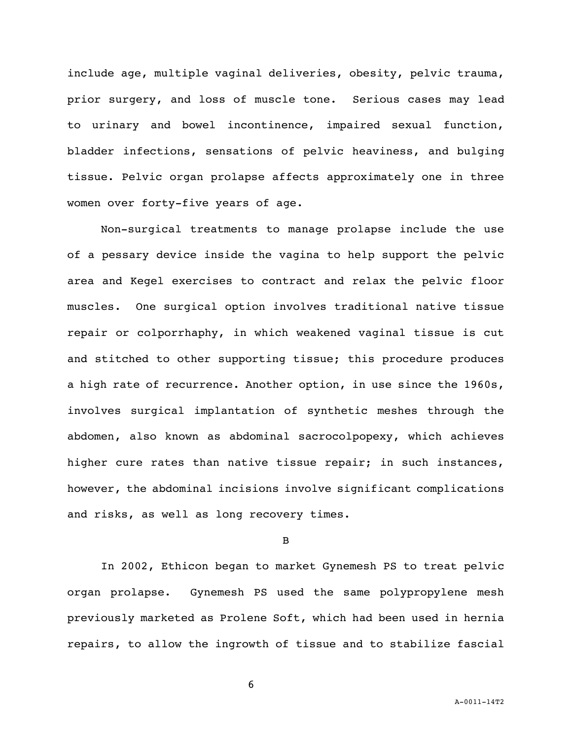include age, multiple vaginal deliveries, obesity, pelvic trauma, prior surgery, and loss of muscle tone. Serious cases may lead to urinary and bowel incontinence, impaired sexual function, bladder infections, sensations of pelvic heaviness, and bulging tissue. Pelvic organ prolapse affects approximately one in three women over forty-five years of age.

Non-surgical treatments to manage prolapse include the use of a pessary device inside the vagina to help support the pelvic area and Kegel exercises to contract and relax the pelvic floor muscles. One surgical option involves traditional native tissue repair or colporrhaphy, in which weakened vaginal tissue is cut and stitched to other supporting tissue; this procedure produces a high rate of recurrence. Another option, in use since the 1960s, involves surgical implantation of synthetic meshes through the abdomen, also known as abdominal sacrocolpopexy, which achieves higher cure rates than native tissue repair; in such instances, however, the abdominal incisions involve significant complications and risks, as well as long recovery times.

#### B

In 2002, Ethicon began to market Gynemesh PS to treat pelvic organ prolapse. Gynemesh PS used the same polypropylene mesh previously marketed as Prolene Soft, which had been used in hernia repairs, to allow the ingrowth of tissue and to stabilize fascial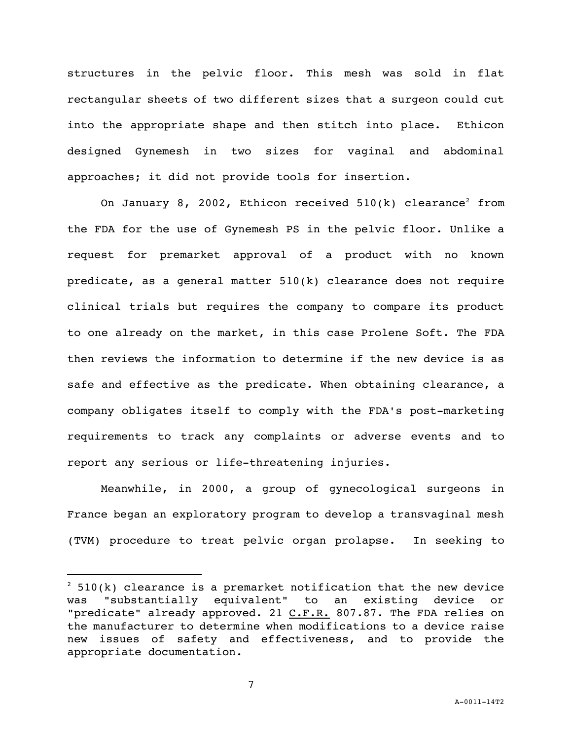structures in the pelvic floor. This mesh was sold in flat rectangular sheets of two different sizes that a surgeon could cut into the appropriate shape and then stitch into place. Ethicon designed Gynemesh in two sizes for vaginal and abdominal approaches; it did not provide tools for insertion.

On January 8, 2002, Ethicon received  $510(k)$  clearance<sup>2</sup> from the FDA for the use of Gynemesh PS in the pelvic floor. Unlike a request for premarket approval of a product with no known predicate, as a general matter 510(k) clearance does not require clinical trials but requires the company to compare its product to one already on the market, in this case Prolene Soft. The FDA then reviews the information to determine if the new device is as safe and effective as the predicate. When obtaining clearance, a company obligates itself to comply with the FDA's post-marketing requirements to track any complaints or adverse events and to report any serious or life-threatening injuries.

Meanwhile, in 2000, a group of gynecological surgeons in France began an exploratory program to develop a transvaginal mesh (TVM) procedure to treat pelvic organ prolapse. In seeking to

i<br>L

 $2$  510(k) clearance is a premarket notification that the new device was "substantially equivalent" to an existing device or "predicate" already approved. 21 C.F.R. 807.87. The FDA relies on the manufacturer to determine when modifications to a device raise new issues of safety and effectiveness, and to provide the appropriate documentation.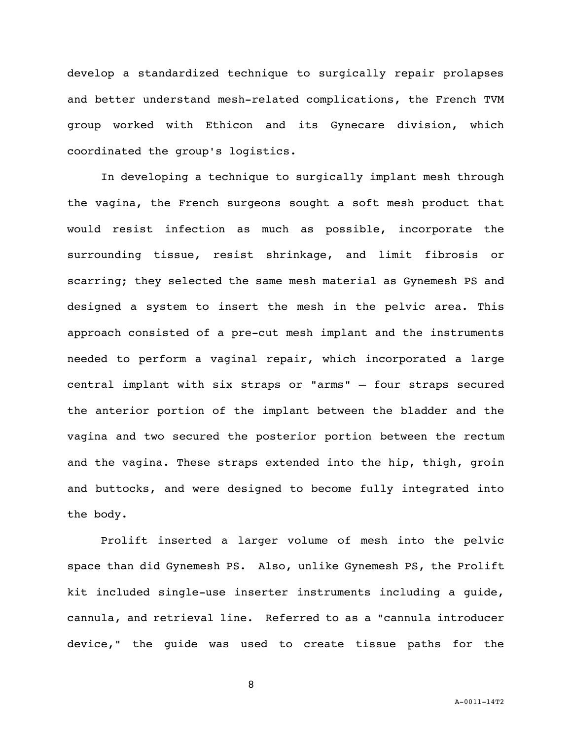develop a standardized technique to surgically repair prolapses and better understand mesh-related complications, the French TVM group worked with Ethicon and its Gynecare division, which coordinated the group's logistics.

In developing a technique to surgically implant mesh through the vagina, the French surgeons sought a soft mesh product that would resist infection as much as possible, incorporate the surrounding tissue, resist shrinkage, and limit fibrosis or scarring; they selected the same mesh material as Gynemesh PS and designed a system to insert the mesh in the pelvic area. This approach consisted of a pre-cut mesh implant and the instruments needed to perform a vaginal repair, which incorporated a large central implant with six straps or "arms" — four straps secured the anterior portion of the implant between the bladder and the vagina and two secured the posterior portion between the rectum and the vagina. These straps extended into the hip, thigh, groin and buttocks, and were designed to become fully integrated into the body.

Prolift inserted a larger volume of mesh into the pelvic space than did Gynemesh PS. Also, unlike Gynemesh PS, the Prolift kit included single-use inserter instruments including a guide, cannula, and retrieval line. Referred to as a "cannula introducer device," the guide was used to create tissue paths for the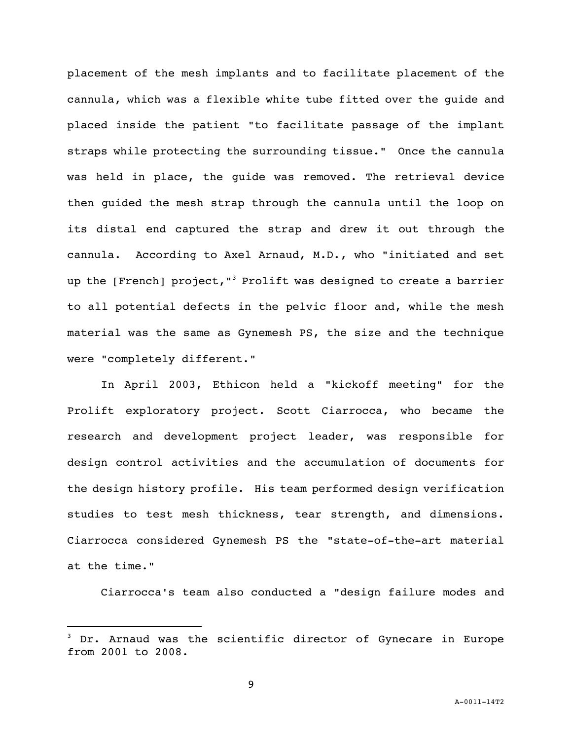placement of the mesh implants and to facilitate placement of the cannula, which was a flexible white tube fitted over the guide and placed inside the patient "to facilitate passage of the implant straps while protecting the surrounding tissue." Once the cannula was held in place, the guide was removed. The retrieval device then guided the mesh strap through the cannula until the loop on its distal end captured the strap and drew it out through the cannula. According to Axel Arnaud, M.D., who "initiated and set up the [French] project,"<sup>3</sup> Prolift was designed to create a barrier to all potential defects in the pelvic floor and, while the mesh material was the same as Gynemesh PS, the size and the technique were "completely different."

In April 2003, Ethicon held a "kickoff meeting" for the Prolift exploratory project. Scott Ciarrocca, who became the research and development project leader, was responsible for design control activities and the accumulation of documents for the design history profile. His team performed design verification studies to test mesh thickness, tear strength, and dimensions. Ciarrocca considered Gynemesh PS the "state-of-the-art material at the time."

Ciarrocca's team also conducted a "design failure modes and

i<br>L

Dr. Arnaud was the scientific director of Gynecare in Europe from 2001 to 2008.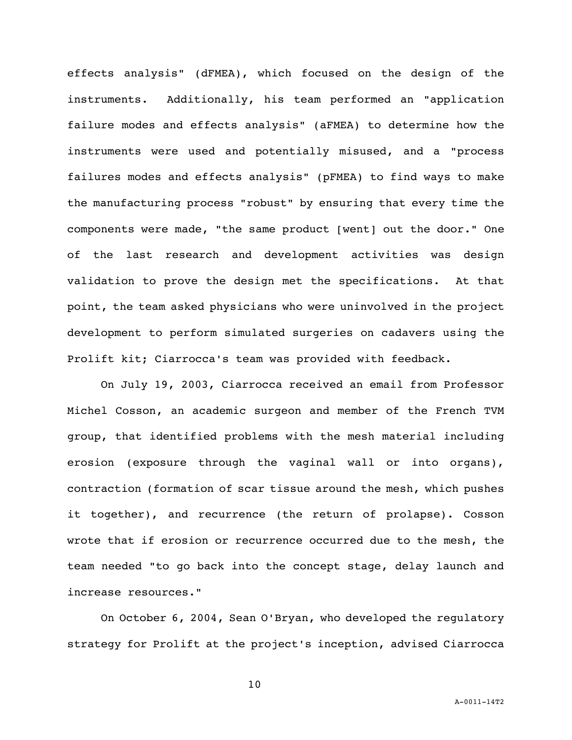effects analysis" (dFMEA), which focused on the design of the instruments. Additionally, his team performed an "application failure modes and effects analysis" (aFMEA) to determine how the instruments were used and potentially misused, and a "process failures modes and effects analysis" (pFMEA) to find ways to make the manufacturing process "robust" by ensuring that every time the components were made, "the same product [went] out the door." One of the last research and development activities was design validation to prove the design met the specifications. At that point, the team asked physicians who were uninvolved in the project development to perform simulated surgeries on cadavers using the Prolift kit; Ciarrocca's team was provided with feedback.

On July 19, 2003, Ciarrocca received an email from Professor Michel Cosson, an academic surgeon and member of the French TVM group, that identified problems with the mesh material including erosion (exposure through the vaginal wall or into organs), contraction (formation of scar tissue around the mesh, which pushes it together), and recurrence (the return of prolapse). Cosson wrote that if erosion or recurrence occurred due to the mesh, the team needed "to go back into the concept stage, delay launch and increase resources."

On October 6, 2004, Sean O'Bryan, who developed the regulatory strategy for Prolift at the project's inception, advised Ciarrocca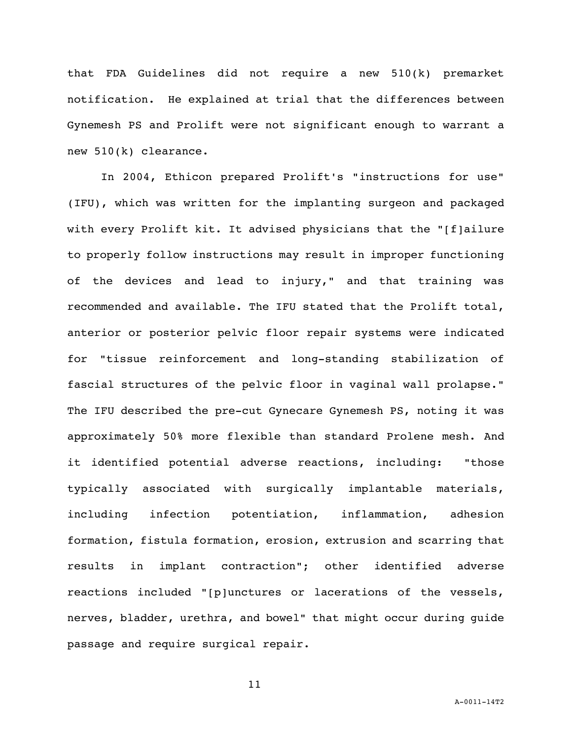that FDA Guidelines did not require a new 510(k) premarket notification. He explained at trial that the differences between Gynemesh PS and Prolift were not significant enough to warrant a new 510(k) clearance.

In 2004, Ethicon prepared Prolift's "instructions for use" (IFU), which was written for the implanting surgeon and packaged with every Prolift kit. It advised physicians that the "[f]ailure to properly follow instructions may result in improper functioning of the devices and lead to injury," and that training was recommended and available. The IFU stated that the Prolift total, anterior or posterior pelvic floor repair systems were indicated for "tissue reinforcement and long-standing stabilization of fascial structures of the pelvic floor in vaginal wall prolapse." The IFU described the pre-cut Gynecare Gynemesh PS, noting it was approximately 50% more flexible than standard Prolene mesh. And it identified potential adverse reactions, including: "those typically associated with surgically implantable materials, including infection potentiation, inflammation, adhesion formation, fistula formation, erosion, extrusion and scarring that results in implant contraction"; other identified adverse reactions included "[p]unctures or lacerations of the vessels, nerves, bladder, urethra, and bowel" that might occur during guide passage and require surgical repair.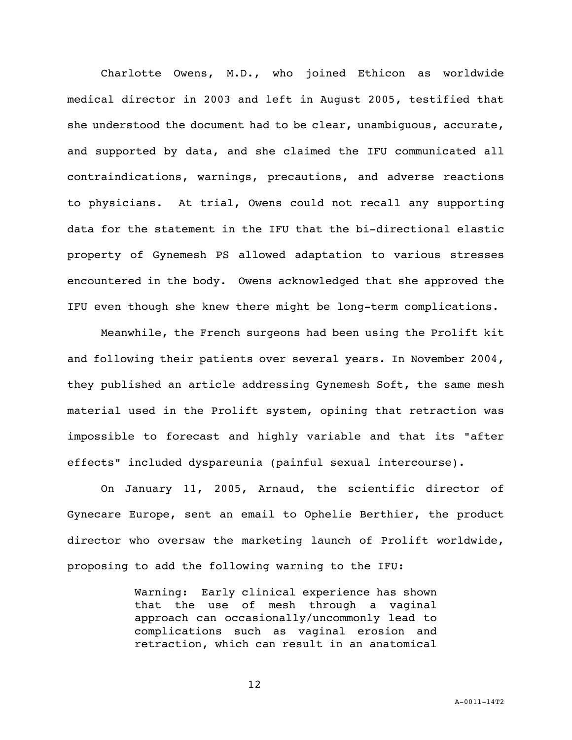Charlotte Owens, M.D., who joined Ethicon as worldwide medical director in 2003 and left in August 2005, testified that she understood the document had to be clear, unambiguous, accurate, and supported by data, and she claimed the IFU communicated all contraindications, warnings, precautions, and adverse reactions to physicians. At trial, Owens could not recall any supporting data for the statement in the IFU that the bi-directional elastic property of Gynemesh PS allowed adaptation to various stresses encountered in the body. Owens acknowledged that she approved the IFU even though she knew there might be long-term complications.

Meanwhile, the French surgeons had been using the Prolift kit and following their patients over several years. In November 2004, they published an article addressing Gynemesh Soft, the same mesh material used in the Prolift system, opining that retraction was impossible to forecast and highly variable and that its "after effects" included dyspareunia (painful sexual intercourse).

On January 11, 2005, Arnaud, the scientific director of Gynecare Europe, sent an email to Ophelie Berthier, the product director who oversaw the marketing launch of Prolift worldwide, proposing to add the following warning to the IFU:

> Warning: Early clinical experience has shown that the use of mesh through a vaginal approach can occasionally/uncommonly lead to complications such as vaginal erosion and retraction, which can result in an anatomical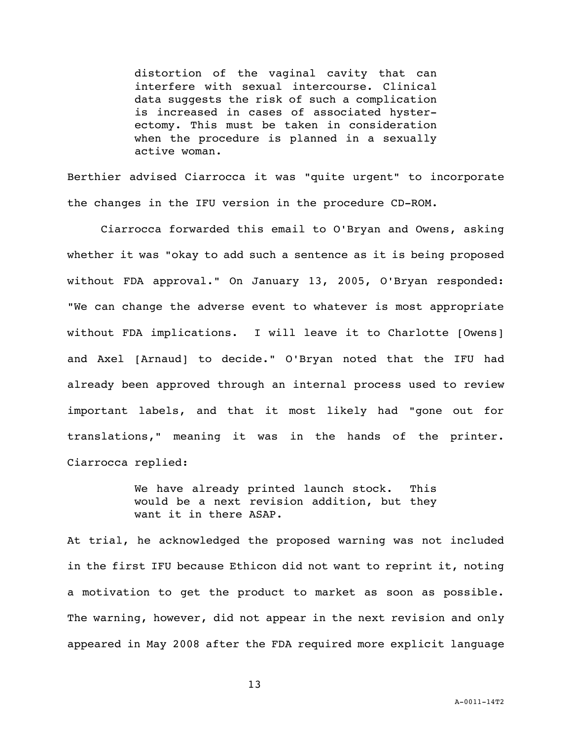distortion of the vaginal cavity that can interfere with sexual intercourse. Clinical data suggests the risk of such a complication is increased in cases of associated hysterectomy. This must be taken in consideration when the procedure is planned in a sexually active woman.

Berthier advised Ciarrocca it was "quite urgent" to incorporate the changes in the IFU version in the procedure CD-ROM.

Ciarrocca forwarded this email to O'Bryan and Owens, asking whether it was "okay to add such a sentence as it is being proposed without FDA approval." On January 13, 2005, O'Bryan responded: "We can change the adverse event to whatever is most appropriate without FDA implications. I will leave it to Charlotte [Owens] and Axel [Arnaud] to decide." O'Bryan noted that the IFU had already been approved through an internal process used to review important labels, and that it most likely had "gone out for translations," meaning it was in the hands of the printer. Ciarrocca replied:

> We have already printed launch stock. This would be a next revision addition, but they want it in there ASAP.

At trial, he acknowledged the proposed warning was not included in the first IFU because Ethicon did not want to reprint it, noting a motivation to get the product to market as soon as possible. The warning, however, did not appear in the next revision and only appeared in May 2008 after the FDA required more explicit language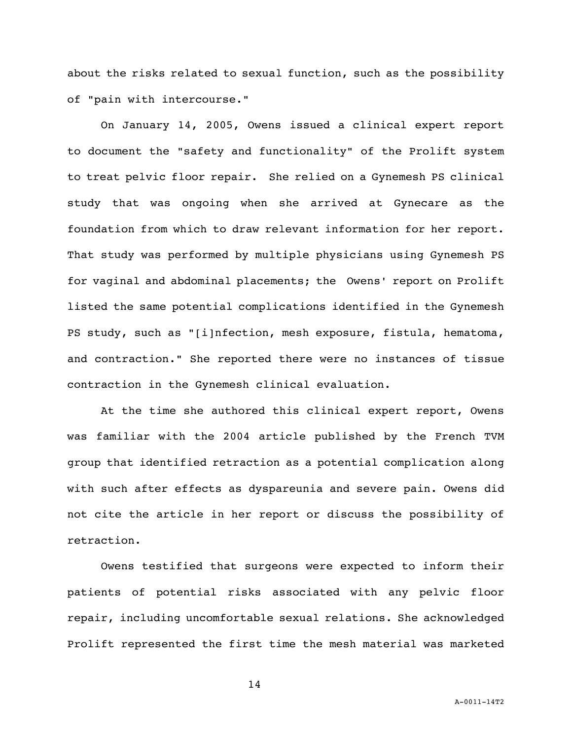about the risks related to sexual function, such as the possibility of "pain with intercourse."

On January 14, 2005, Owens issued a clinical expert report to document the "safety and functionality" of the Prolift system to treat pelvic floor repair. She relied on a Gynemesh PS clinical study that was ongoing when she arrived at Gynecare as the foundation from which to draw relevant information for her report. That study was performed by multiple physicians using Gynemesh PS for vaginal and abdominal placements; the Owens' report on Prolift listed the same potential complications identified in the Gynemesh PS study, such as "[i]nfection, mesh exposure, fistula, hematoma, and contraction." She reported there were no instances of tissue contraction in the Gynemesh clinical evaluation.

At the time she authored this clinical expert report, Owens was familiar with the 2004 article published by the French TVM group that identified retraction as a potential complication along with such after effects as dyspareunia and severe pain. Owens did not cite the article in her report or discuss the possibility of retraction.

Owens testified that surgeons were expected to inform their patients of potential risks associated with any pelvic floor repair, including uncomfortable sexual relations. She acknowledged Prolift represented the first time the mesh material was marketed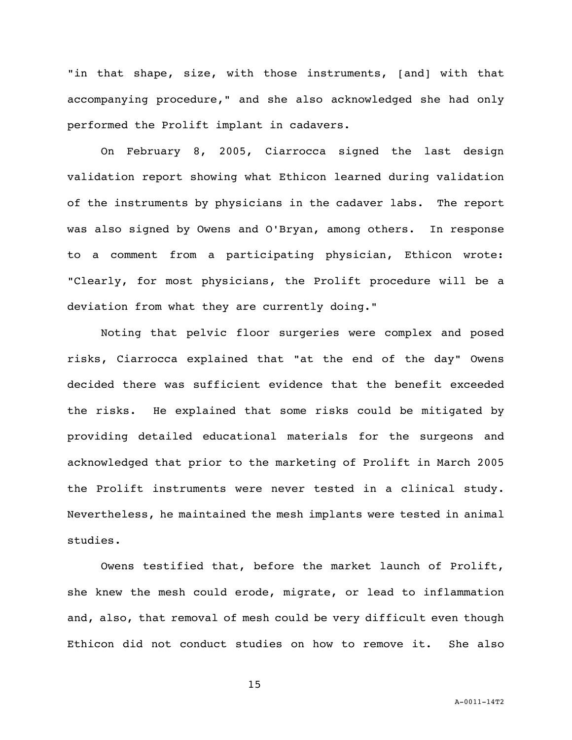"in that shape, size, with those instruments, [and] with that accompanying procedure," and she also acknowledged she had only performed the Prolift implant in cadavers.

On February 8, 2005, Ciarrocca signed the last design validation report showing what Ethicon learned during validation of the instruments by physicians in the cadaver labs. The report was also signed by Owens and O'Bryan, among others. In response to a comment from a participating physician, Ethicon wrote: "Clearly, for most physicians, the Prolift procedure will be a deviation from what they are currently doing."

Noting that pelvic floor surgeries were complex and posed risks, Ciarrocca explained that "at the end of the day" Owens decided there was sufficient evidence that the benefit exceeded the risks. He explained that some risks could be mitigated by providing detailed educational materials for the surgeons and acknowledged that prior to the marketing of Prolift in March 2005 the Prolift instruments were never tested in a clinical study. Nevertheless, he maintained the mesh implants were tested in animal studies.

Owens testified that, before the market launch of Prolift, she knew the mesh could erode, migrate, or lead to inflammation and, also, that removal of mesh could be very difficult even though Ethicon did not conduct studies on how to remove it. She also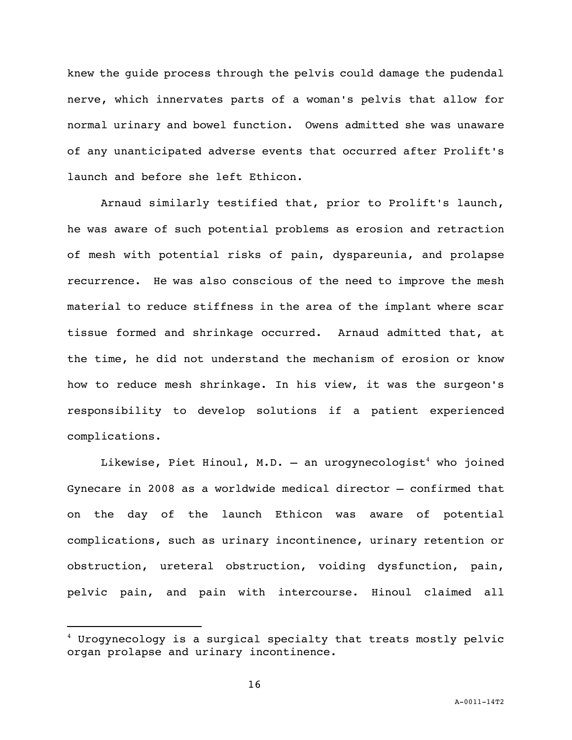knew the guide process through the pelvis could damage the pudendal nerve, which innervates parts of a woman's pelvis that allow for normal urinary and bowel function. Owens admitted she was unaware of any unanticipated adverse events that occurred after Prolift's launch and before she left Ethicon.

Arnaud similarly testified that, prior to Prolift's launch, he was aware of such potential problems as erosion and retraction of mesh with potential risks of pain, dyspareunia, and prolapse recurrence. He was also conscious of the need to improve the mesh material to reduce stiffness in the area of the implant where scar tissue formed and shrinkage occurred. Arnaud admitted that, at the time, he did not understand the mechanism of erosion or know how to reduce mesh shrinkage. In his view, it was the surgeon's responsibility to develop solutions if a patient experienced complications.

Likewise, Piet Hinoul, M.D. - an urogynecologist<sup>4</sup> who joined Gynecare in 2008 as a worldwide medical director — confirmed that on the day of the launch Ethicon was aware of potential complications, such as urinary incontinence, urinary retention or obstruction, ureteral obstruction, voiding dysfunction, pain, pelvic pain, and pain with intercourse. Hinoul claimed all

i<br>L

 $4$  Urogynecology is a surgical specialty that treats mostly pelvic organ prolapse and urinary incontinence.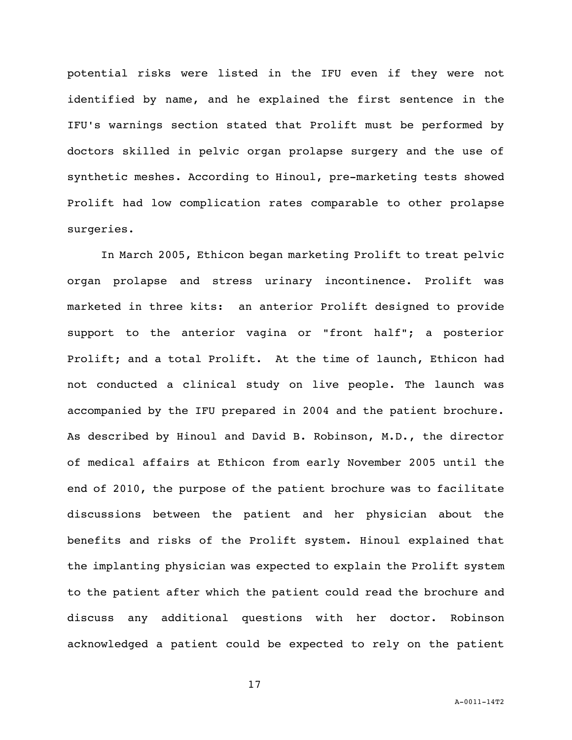potential risks were listed in the IFU even if they were not identified by name, and he explained the first sentence in the IFU's warnings section stated that Prolift must be performed by doctors skilled in pelvic organ prolapse surgery and the use of synthetic meshes. According to Hinoul, pre-marketing tests showed Prolift had low complication rates comparable to other prolapse surgeries.

In March 2005, Ethicon began marketing Prolift to treat pelvic organ prolapse and stress urinary incontinence. Prolift was marketed in three kits: an anterior Prolift designed to provide support to the anterior vagina or "front half"; a posterior Prolift; and a total Prolift. At the time of launch, Ethicon had not conducted a clinical study on live people. The launch was accompanied by the IFU prepared in 2004 and the patient brochure. As described by Hinoul and David B. Robinson, M.D., the director of medical affairs at Ethicon from early November 2005 until the end of 2010, the purpose of the patient brochure was to facilitate discussions between the patient and her physician about the benefits and risks of the Prolift system. Hinoul explained that the implanting physician was expected to explain the Prolift system to the patient after which the patient could read the brochure and discuss any additional questions with her doctor. Robinson acknowledged a patient could be expected to rely on the patient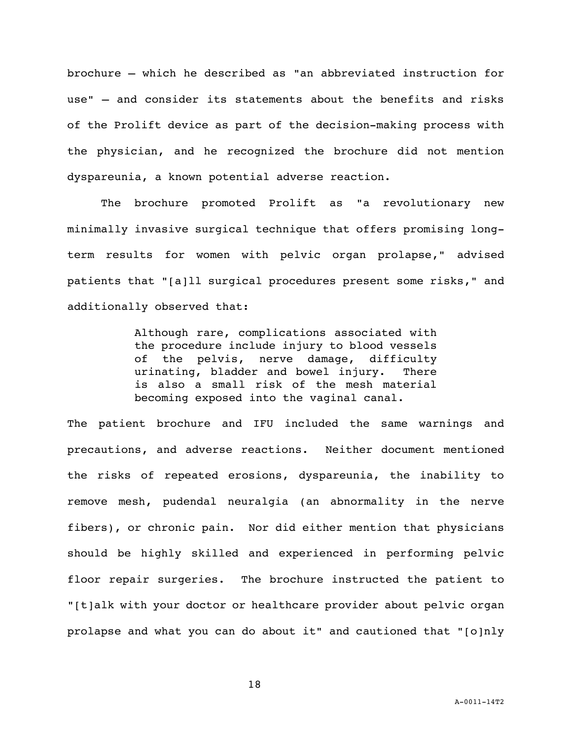brochure — which he described as "an abbreviated instruction for use" — and consider its statements about the benefits and risks of the Prolift device as part of the decision-making process with the physician, and he recognized the brochure did not mention dyspareunia, a known potential adverse reaction.

The brochure promoted Prolift as "a revolutionary new minimally invasive surgical technique that offers promising longterm results for women with pelvic organ prolapse," advised patients that "[a]ll surgical procedures present some risks," and additionally observed that:

> Although rare, complications associated with the procedure include injury to blood vessels of the pelvis, nerve damage, difficulty urinating, bladder and bowel injury. There is also a small risk of the mesh material becoming exposed into the vaginal canal.

The patient brochure and IFU included the same warnings and precautions, and adverse reactions. Neither document mentioned the risks of repeated erosions, dyspareunia, the inability to remove mesh, pudendal neuralgia (an abnormality in the nerve fibers), or chronic pain. Nor did either mention that physicians should be highly skilled and experienced in performing pelvic floor repair surgeries. The brochure instructed the patient to "[t]alk with your doctor or healthcare provider about pelvic organ prolapse and what you can do about it" and cautioned that "[o]nly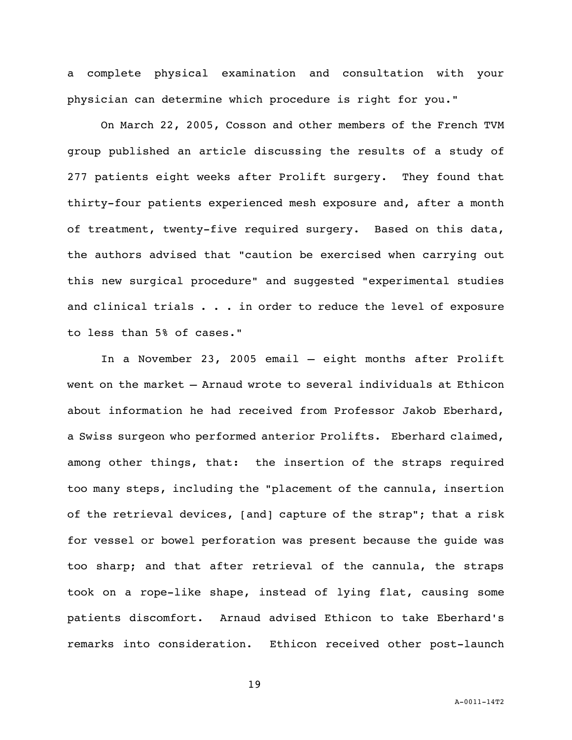a complete physical examination and consultation with your physician can determine which procedure is right for you."

On March 22, 2005, Cosson and other members of the French TVM group published an article discussing the results of a study of 277 patients eight weeks after Prolift surgery. They found that thirty-four patients experienced mesh exposure and, after a month of treatment, twenty-five required surgery. Based on this data, the authors advised that "caution be exercised when carrying out this new surgical procedure" and suggested "experimental studies and clinical trials . . . in order to reduce the level of exposure to less than 5% of cases."

In a November 23, 2005 email — eight months after Prolift went on the market — Arnaud wrote to several individuals at Ethicon about information he had received from Professor Jakob Eberhard, a Swiss surgeon who performed anterior Prolifts. Eberhard claimed, among other things, that: the insertion of the straps required too many steps, including the "placement of the cannula, insertion of the retrieval devices, [and] capture of the strap"; that a risk for vessel or bowel perforation was present because the guide was too sharp; and that after retrieval of the cannula, the straps took on a rope-like shape, instead of lying flat, causing some patients discomfort. Arnaud advised Ethicon to take Eberhard's remarks into consideration. Ethicon received other post-launch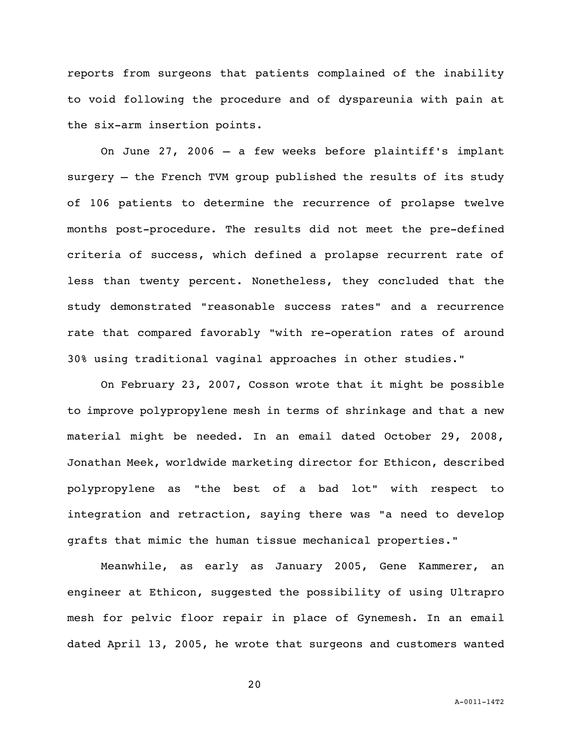reports from surgeons that patients complained of the inability to void following the procedure and of dyspareunia with pain at the six-arm insertion points.

On June 27, 2006 — a few weeks before plaintiff's implant surgery — the French TVM group published the results of its study of 106 patients to determine the recurrence of prolapse twelve months post-procedure. The results did not meet the pre-defined criteria of success, which defined a prolapse recurrent rate of less than twenty percent. Nonetheless, they concluded that the study demonstrated "reasonable success rates" and a recurrence rate that compared favorably "with re-operation rates of around 30% using traditional vaginal approaches in other studies."

On February 23, 2007, Cosson wrote that it might be possible to improve polypropylene mesh in terms of shrinkage and that a new material might be needed. In an email dated October 29, 2008, Jonathan Meek, worldwide marketing director for Ethicon, described polypropylene as "the best of a bad lot" with respect to integration and retraction, saying there was "a need to develop grafts that mimic the human tissue mechanical properties."

Meanwhile, as early as January 2005, Gene Kammerer, an engineer at Ethicon, suggested the possibility of using Ultrapro mesh for pelvic floor repair in place of Gynemesh. In an email dated April 13, 2005, he wrote that surgeons and customers wanted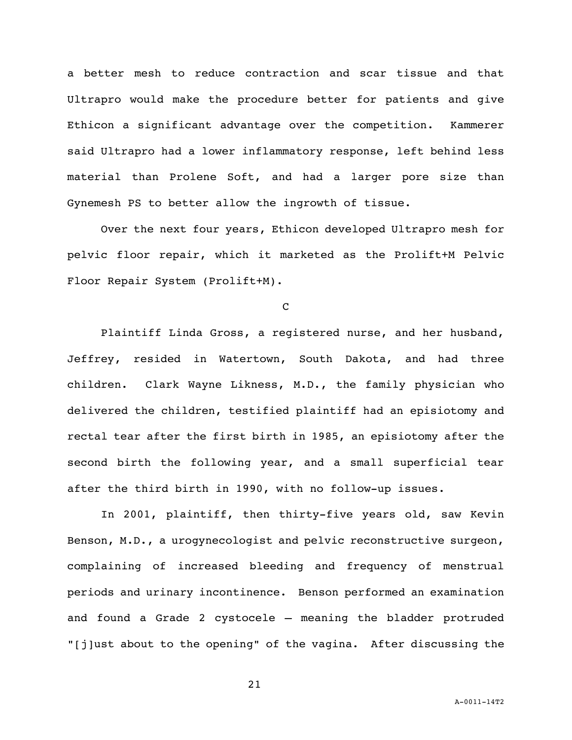a better mesh to reduce contraction and scar tissue and that Ultrapro would make the procedure better for patients and give Ethicon a significant advantage over the competition. Kammerer said Ultrapro had a lower inflammatory response, left behind less material than Prolene Soft, and had a larger pore size than Gynemesh PS to better allow the ingrowth of tissue.

Over the next four years, Ethicon developed Ultrapro mesh for pelvic floor repair, which it marketed as the Prolift+M Pelvic Floor Repair System (Prolift+M).

 $\mathbf C$ 

Plaintiff Linda Gross, a registered nurse, and her husband, Jeffrey, resided in Watertown, South Dakota, and had three children. Clark Wayne Likness, M.D., the family physician who delivered the children, testified plaintiff had an episiotomy and rectal tear after the first birth in 1985, an episiotomy after the second birth the following year, and a small superficial tear after the third birth in 1990, with no follow-up issues.

In 2001, plaintiff, then thirty-five years old, saw Kevin Benson, M.D., a urogynecologist and pelvic reconstructive surgeon, complaining of increased bleeding and frequency of menstrual periods and urinary incontinence. Benson performed an examination and found a Grade 2 cystocele — meaning the bladder protruded "[j]ust about to the opening" of the vagina. After discussing the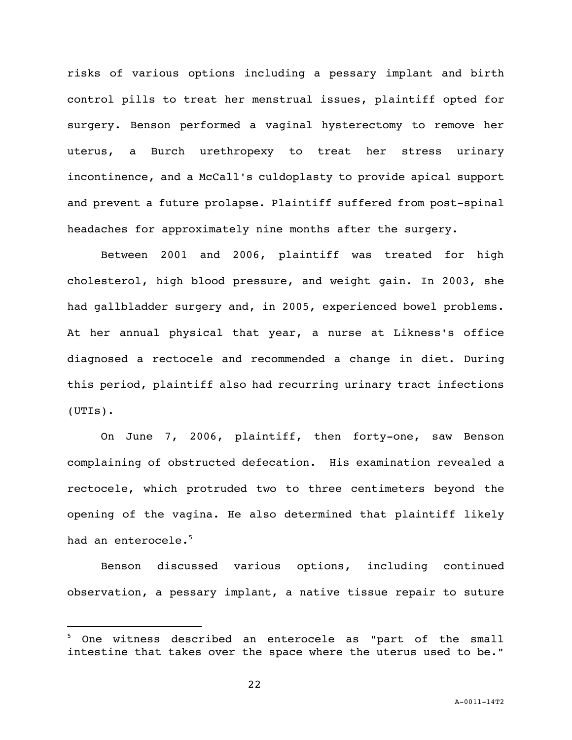risks of various options including a pessary implant and birth control pills to treat her menstrual issues, plaintiff opted for surgery. Benson performed a vaginal hysterectomy to remove her uterus, a Burch urethropexy to treat her stress urinary incontinence, and a McCall's culdoplasty to provide apical support and prevent a future prolapse. Plaintiff suffered from post-spinal headaches for approximately nine months after the surgery.

Between 2001 and 2006, plaintiff was treated for high cholesterol, high blood pressure, and weight gain. In 2003, she had gallbladder surgery and, in 2005, experienced bowel problems. At her annual physical that year, a nurse at Likness's office diagnosed a rectocele and recommended a change in diet. During this period, plaintiff also had recurring urinary tract infections (UTIs).

On June 7, 2006, plaintiff, then forty-one, saw Benson complaining of obstructed defecation. His examination revealed a rectocele, which protruded two to three centimeters beyond the opening of the vagina. He also determined that plaintiff likely had an enterocele. 5

Benson discussed various options, including continued observation, a pessary implant, a native tissue repair to suture

i<br>L

One witness described an enterocele as "part of the small intestine that takes over the space where the uterus used to be."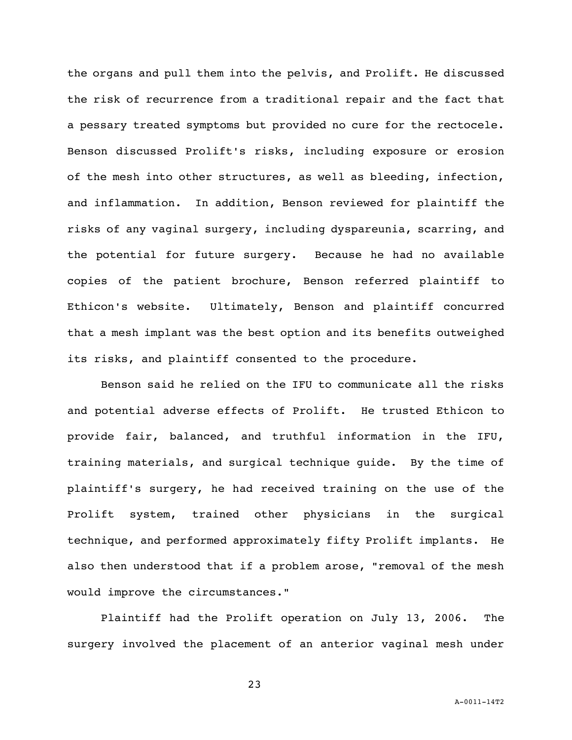the organs and pull them into the pelvis, and Prolift. He discussed the risk of recurrence from a traditional repair and the fact that a pessary treated symptoms but provided no cure for the rectocele. Benson discussed Prolift's risks, including exposure or erosion of the mesh into other structures, as well as bleeding, infection, and inflammation. In addition, Benson reviewed for plaintiff the risks of any vaginal surgery, including dyspareunia, scarring, and the potential for future surgery. Because he had no available copies of the patient brochure, Benson referred plaintiff to Ethicon's website. Ultimately, Benson and plaintiff concurred that a mesh implant was the best option and its benefits outweighed its risks, and plaintiff consented to the procedure.

Benson said he relied on the IFU to communicate all the risks and potential adverse effects of Prolift. He trusted Ethicon to provide fair, balanced, and truthful information in the IFU, training materials, and surgical technique guide. By the time of plaintiff's surgery, he had received training on the use of the Prolift system, trained other physicians in the surgical technique, and performed approximately fifty Prolift implants. He also then understood that if a problem arose, "removal of the mesh would improve the circumstances."

Plaintiff had the Prolift operation on July 13, 2006. The surgery involved the placement of an anterior vaginal mesh under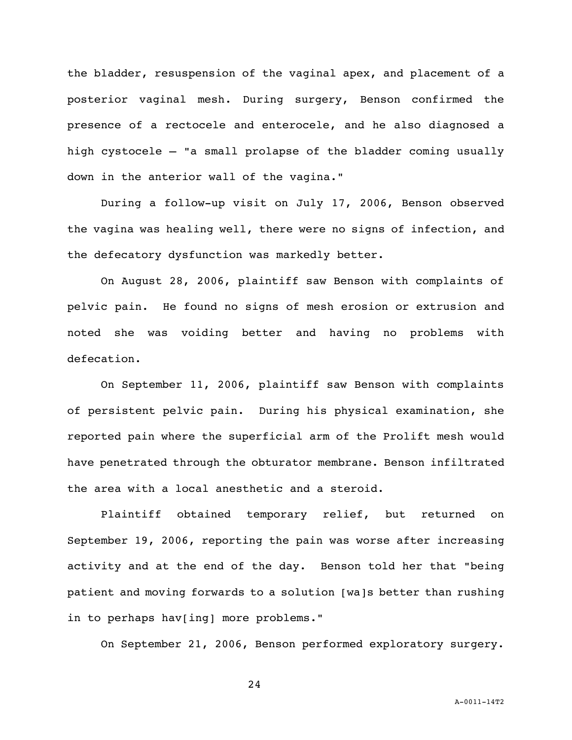the bladder, resuspension of the vaginal apex, and placement of a posterior vaginal mesh. During surgery, Benson confirmed the presence of a rectocele and enterocele, and he also diagnosed a high cystocele — "a small prolapse of the bladder coming usually down in the anterior wall of the vagina."

During a follow-up visit on July 17, 2006, Benson observed the vagina was healing well, there were no signs of infection, and the defecatory dysfunction was markedly better.

On August 28, 2006, plaintiff saw Benson with complaints of pelvic pain. He found no signs of mesh erosion or extrusion and noted she was voiding better and having no problems with defecation.

On September 11, 2006, plaintiff saw Benson with complaints of persistent pelvic pain. During his physical examination, she reported pain where the superficial arm of the Prolift mesh would have penetrated through the obturator membrane. Benson infiltrated the area with a local anesthetic and a steroid.

Plaintiff obtained temporary relief, but returned on September 19, 2006, reporting the pain was worse after increasing activity and at the end of the day. Benson told her that "being patient and moving forwards to a solution [wa]s better than rushing in to perhaps hav[ing] more problems."

On September 21, 2006, Benson performed exploratory surgery.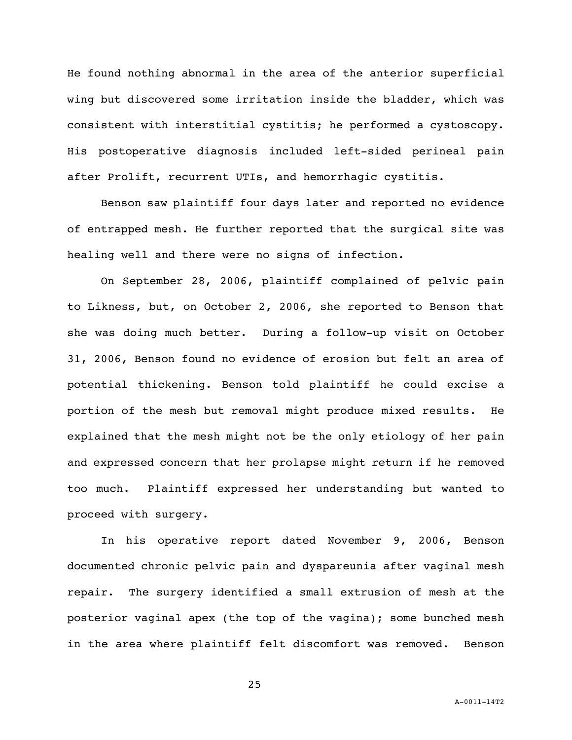He found nothing abnormal in the area of the anterior superficial wing but discovered some irritation inside the bladder, which was consistent with interstitial cystitis; he performed a cystoscopy. His postoperative diagnosis included left-sided perineal pain after Prolift, recurrent UTIs, and hemorrhagic cystitis.

Benson saw plaintiff four days later and reported no evidence of entrapped mesh. He further reported that the surgical site was healing well and there were no signs of infection.

On September 28, 2006, plaintiff complained of pelvic pain to Likness, but, on October 2, 2006, she reported to Benson that she was doing much better. During a follow-up visit on October 31, 2006, Benson found no evidence of erosion but felt an area of potential thickening. Benson told plaintiff he could excise a portion of the mesh but removal might produce mixed results. He explained that the mesh might not be the only etiology of her pain and expressed concern that her prolapse might return if he removed too much. Plaintiff expressed her understanding but wanted to proceed with surgery.

In his operative report dated November 9, 2006, Benson documented chronic pelvic pain and dyspareunia after vaginal mesh repair. The surgery identified a small extrusion of mesh at the posterior vaginal apex (the top of the vagina); some bunched mesh in the area where plaintiff felt discomfort was removed. Benson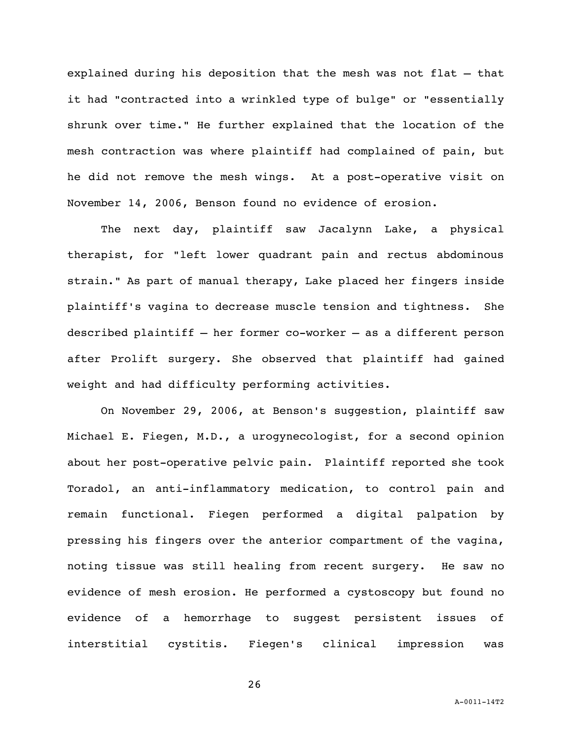explained during his deposition that the mesh was not flat — that it had "contracted into a wrinkled type of bulge" or "essentially shrunk over time." He further explained that the location of the mesh contraction was where plaintiff had complained of pain, but he did not remove the mesh wings. At a post-operative visit on November 14, 2006, Benson found no evidence of erosion.

The next day, plaintiff saw Jacalynn Lake, a physical therapist, for "left lower quadrant pain and rectus abdominous strain." As part of manual therapy, Lake placed her fingers inside plaintiff's vagina to decrease muscle tension and tightness. She described plaintiff — her former co-worker — as a different person after Prolift surgery. She observed that plaintiff had gained weight and had difficulty performing activities.

On November 29, 2006, at Benson's suggestion, plaintiff saw Michael E. Fiegen, M.D., a urogynecologist, for a second opinion about her post-operative pelvic pain. Plaintiff reported she took Toradol, an anti-inflammatory medication, to control pain and remain functional. Fiegen performed a digital palpation by pressing his fingers over the anterior compartment of the vagina, noting tissue was still healing from recent surgery. He saw no evidence of mesh erosion. He performed a cystoscopy but found no evidence of a hemorrhage to suggest persistent issues of interstitial cystitis. Fiegen's clinical impression was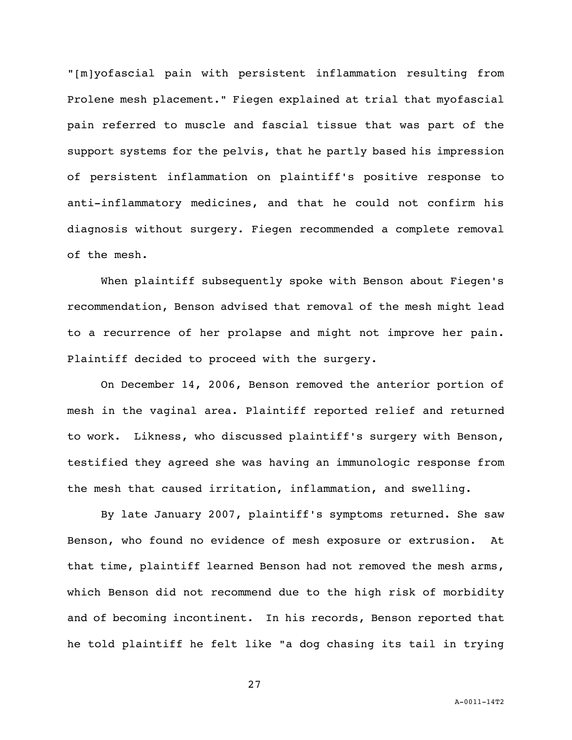"[m]yofascial pain with persistent inflammation resulting from Prolene mesh placement." Fiegen explained at trial that myofascial pain referred to muscle and fascial tissue that was part of the support systems for the pelvis, that he partly based his impression of persistent inflammation on plaintiff's positive response to anti-inflammatory medicines, and that he could not confirm his diagnosis without surgery. Fiegen recommended a complete removal of the mesh.

When plaintiff subsequently spoke with Benson about Fiegen's recommendation, Benson advised that removal of the mesh might lead to a recurrence of her prolapse and might not improve her pain. Plaintiff decided to proceed with the surgery.

On December 14, 2006, Benson removed the anterior portion of mesh in the vaginal area. Plaintiff reported relief and returned to work. Likness, who discussed plaintiff's surgery with Benson, testified they agreed she was having an immunologic response from the mesh that caused irritation, inflammation, and swelling.

By late January 2007, plaintiff's symptoms returned. She saw Benson, who found no evidence of mesh exposure or extrusion. At that time, plaintiff learned Benson had not removed the mesh arms, which Benson did not recommend due to the high risk of morbidity and of becoming incontinent. In his records, Benson reported that he told plaintiff he felt like "a dog chasing its tail in trying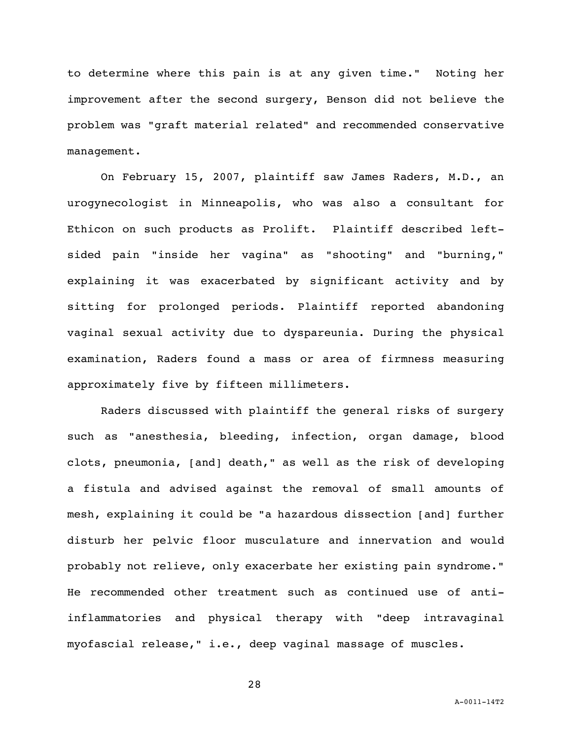to determine where this pain is at any given time." Noting her improvement after the second surgery, Benson did not believe the problem was "graft material related" and recommended conservative management.

On February 15, 2007, plaintiff saw James Raders, M.D., an urogynecologist in Minneapolis, who was also a consultant for Ethicon on such products as Prolift. Plaintiff described leftsided pain "inside her vagina" as "shooting" and "burning," explaining it was exacerbated by significant activity and by sitting for prolonged periods. Plaintiff reported abandoning vaginal sexual activity due to dyspareunia. During the physical examination, Raders found a mass or area of firmness measuring approximately five by fifteen millimeters.

Raders discussed with plaintiff the general risks of surgery such as "anesthesia, bleeding, infection, organ damage, blood clots, pneumonia, [and] death," as well as the risk of developing a fistula and advised against the removal of small amounts of mesh, explaining it could be "a hazardous dissection [and] further disturb her pelvic floor musculature and innervation and would probably not relieve, only exacerbate her existing pain syndrome." He recommended other treatment such as continued use of antiinflammatories and physical therapy with "deep intravaginal myofascial release," i.e., deep vaginal massage of muscles.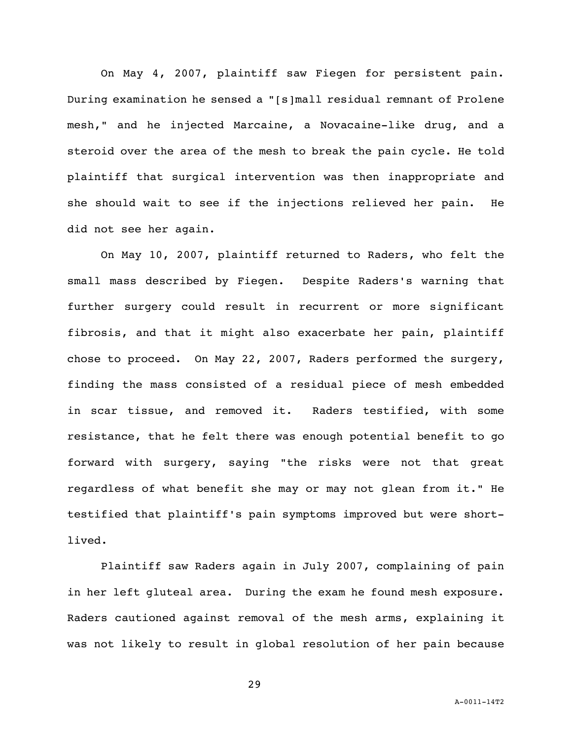On May 4, 2007, plaintiff saw Fiegen for persistent pain. During examination he sensed a "[s]mall residual remnant of Prolene mesh," and he injected Marcaine, a Novacaine-like drug, and a steroid over the area of the mesh to break the pain cycle. He told plaintiff that surgical intervention was then inappropriate and she should wait to see if the injections relieved her pain. He did not see her again.

On May 10, 2007, plaintiff returned to Raders, who felt the small mass described by Fiegen. Despite Raders's warning that further surgery could result in recurrent or more significant fibrosis, and that it might also exacerbate her pain, plaintiff chose to proceed. On May 22, 2007, Raders performed the surgery, finding the mass consisted of a residual piece of mesh embedded in scar tissue, and removed it. Raders testified, with some resistance, that he felt there was enough potential benefit to go forward with surgery, saying "the risks were not that great regardless of what benefit she may or may not glean from it." He testified that plaintiff's pain symptoms improved but were shortlived.

Plaintiff saw Raders again in July 2007, complaining of pain in her left gluteal area. During the exam he found mesh exposure. Raders cautioned against removal of the mesh arms, explaining it was not likely to result in global resolution of her pain because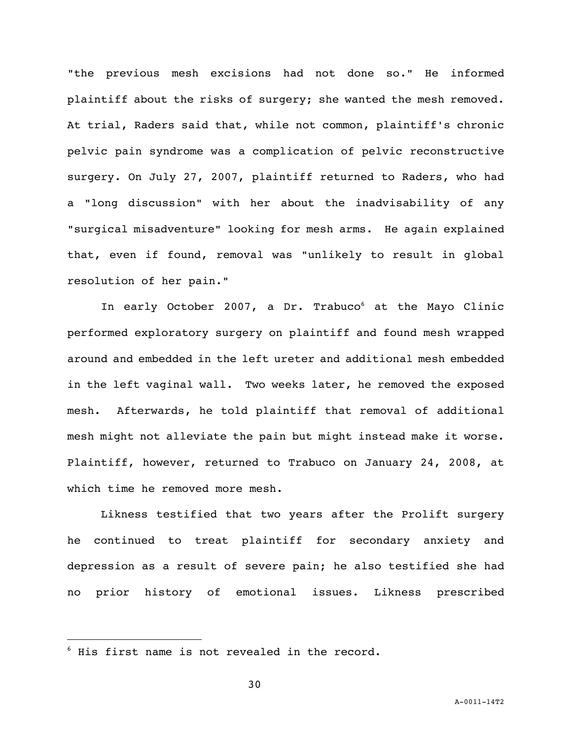"the previous mesh excisions had not done so." He informed plaintiff about the risks of surgery; she wanted the mesh removed. At trial, Raders said that, while not common, plaintiff's chronic pelvic pain syndrome was a complication of pelvic reconstructive surgery. On July 27, 2007, plaintiff returned to Raders, who had a "long discussion" with her about the inadvisability of any "surgical misadventure" looking for mesh arms. He again explained that, even if found, removal was "unlikely to result in global resolution of her pain."

In early October 2007, a Dr. Trabuco<sup>6</sup> at the Mayo Clinic performed exploratory surgery on plaintiff and found mesh wrapped around and embedded in the left ureter and additional mesh embedded in the left vaginal wall. Two weeks later, he removed the exposed mesh. Afterwards, he told plaintiff that removal of additional mesh might not alleviate the pain but might instead make it worse. Plaintiff, however, returned to Trabuco on January 24, 2008, at which time he removed more mesh.

Likness testified that two years after the Prolift surgery he continued to treat plaintiff for secondary anxiety and depression as a result of severe pain; he also testified she had no prior history of emotional issues. Likness prescribed

i<br>L

<sup>6</sup> His first name is not revealed in the record.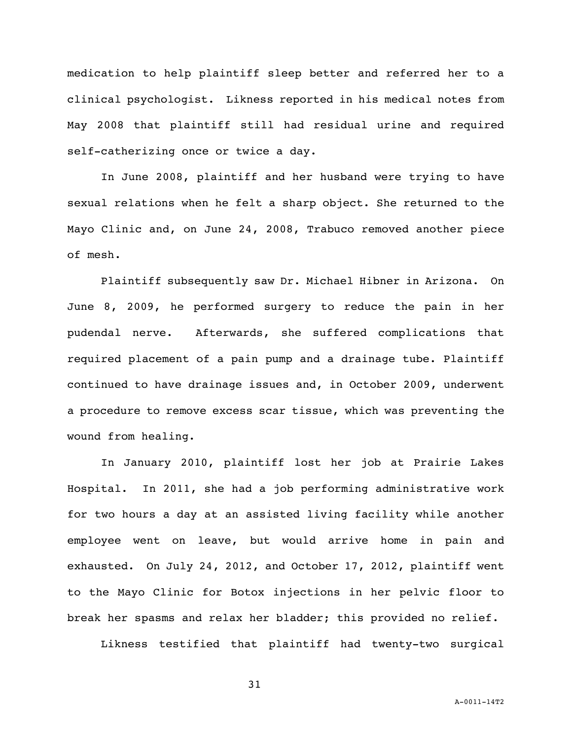medication to help plaintiff sleep better and referred her to a clinical psychologist. Likness reported in his medical notes from May 2008 that plaintiff still had residual urine and required self-catherizing once or twice a day.

In June 2008, plaintiff and her husband were trying to have sexual relations when he felt a sharp object. She returned to the Mayo Clinic and, on June 24, 2008, Trabuco removed another piece of mesh.

Plaintiff subsequently saw Dr. Michael Hibner in Arizona. On June 8, 2009, he performed surgery to reduce the pain in her pudendal nerve. Afterwards, she suffered complications that required placement of a pain pump and a drainage tube. Plaintiff continued to have drainage issues and, in October 2009, underwent a procedure to remove excess scar tissue, which was preventing the wound from healing.

In January 2010, plaintiff lost her job at Prairie Lakes Hospital. In 2011, she had a job performing administrative work for two hours a day at an assisted living facility while another employee went on leave, but would arrive home in pain and exhausted. On July 24, 2012, and October 17, 2012, plaintiff went to the Mayo Clinic for Botox injections in her pelvic floor to break her spasms and relax her bladder; this provided no relief.

Likness testified that plaintiff had twenty-two surgical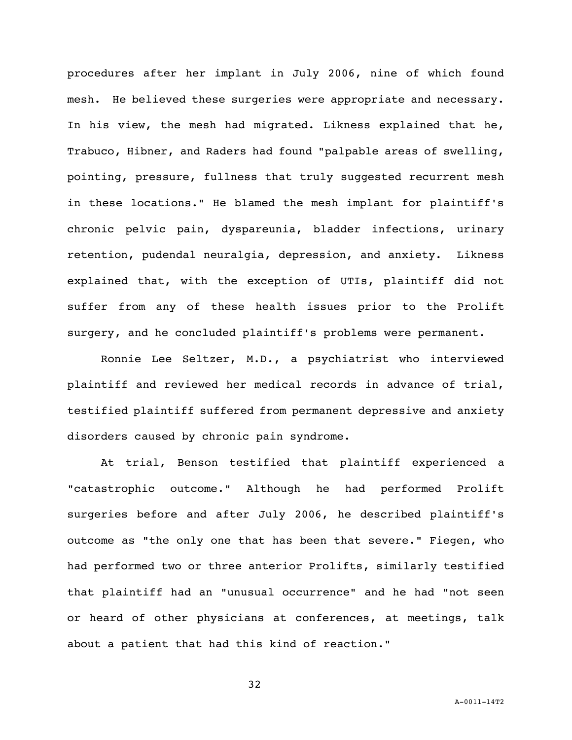procedures after her implant in July 2006, nine of which found mesh. He believed these surgeries were appropriate and necessary. In his view, the mesh had migrated. Likness explained that he, Trabuco, Hibner, and Raders had found "palpable areas of swelling, pointing, pressure, fullness that truly suggested recurrent mesh in these locations." He blamed the mesh implant for plaintiff's chronic pelvic pain, dyspareunia, bladder infections, urinary retention, pudendal neuralgia, depression, and anxiety. Likness explained that, with the exception of UTIs, plaintiff did not suffer from any of these health issues prior to the Prolift surgery, and he concluded plaintiff's problems were permanent.

Ronnie Lee Seltzer, M.D., a psychiatrist who interviewed plaintiff and reviewed her medical records in advance of trial, testified plaintiff suffered from permanent depressive and anxiety disorders caused by chronic pain syndrome.

At trial, Benson testified that plaintiff experienced a "catastrophic outcome." Although he had performed Prolift surgeries before and after July 2006, he described plaintiff's outcome as "the only one that has been that severe." Fiegen, who had performed two or three anterior Prolifts, similarly testified that plaintiff had an "unusual occurrence" and he had "not seen or heard of other physicians at conferences, at meetings, talk about a patient that had this kind of reaction."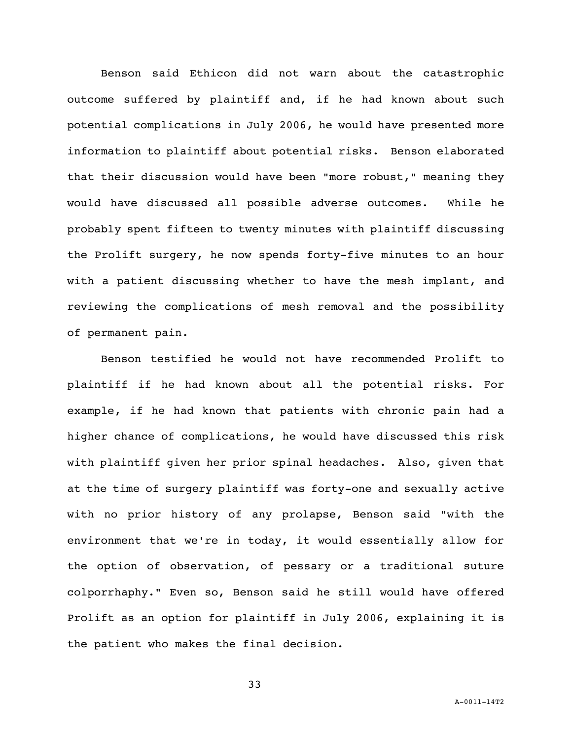Benson said Ethicon did not warn about the catastrophic outcome suffered by plaintiff and, if he had known about such potential complications in July 2006, he would have presented more information to plaintiff about potential risks. Benson elaborated that their discussion would have been "more robust," meaning they would have discussed all possible adverse outcomes. While he probably spent fifteen to twenty minutes with plaintiff discussing the Prolift surgery, he now spends forty-five minutes to an hour with a patient discussing whether to have the mesh implant, and reviewing the complications of mesh removal and the possibility of permanent pain.

Benson testified he would not have recommended Prolift to plaintiff if he had known about all the potential risks. For example, if he had known that patients with chronic pain had a higher chance of complications, he would have discussed this risk with plaintiff given her prior spinal headaches. Also, given that at the time of surgery plaintiff was forty-one and sexually active with no prior history of any prolapse, Benson said "with the environment that we're in today, it would essentially allow for the option of observation, of pessary or a traditional suture colporrhaphy." Even so, Benson said he still would have offered Prolift as an option for plaintiff in July 2006, explaining it is the patient who makes the final decision.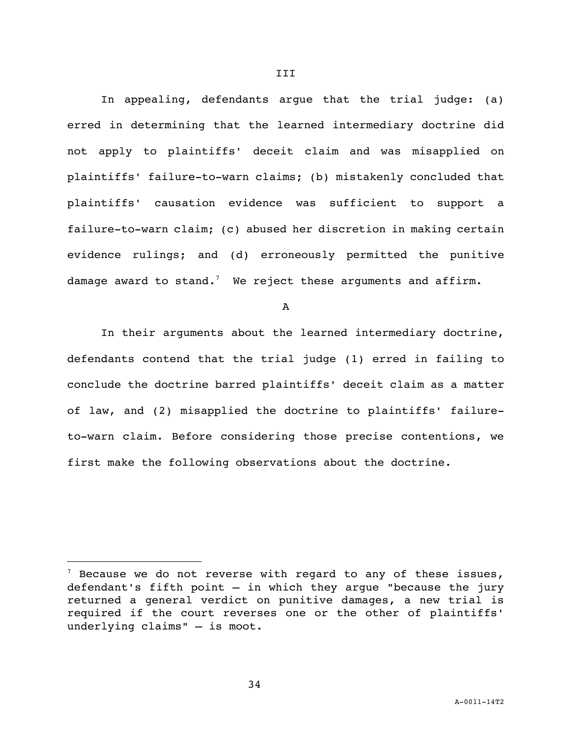In appealing, defendants argue that the trial judge: (a) erred in determining that the learned intermediary doctrine did not apply to plaintiffs' deceit claim and was misapplied on plaintiffs' failure-to-warn claims; (b) mistakenly concluded that plaintiffs' causation evidence was sufficient to support a failure-to-warn claim; (c) abused her discretion in making certain evidence rulings; and (d) erroneously permitted the punitive damage award to stand. $^7\;$  We reject these arguments and affirm.

A

In their arguments about the learned intermediary doctrine, defendants contend that the trial judge (1) erred in failing to conclude the doctrine barred plaintiffs' deceit claim as a matter of law, and (2) misapplied the doctrine to plaintiffs' failureto-warn claim. Before considering those precise contentions, we first make the following observations about the doctrine.

34

i<br>L

 $^7$  Because we do not reverse with regard to any of these issues, defendant's fifth point — in which they argue "because the jury returned a general verdict on punitive damages, a new trial is required if the court reverses one or the other of plaintiffs' underlying claims" — is moot.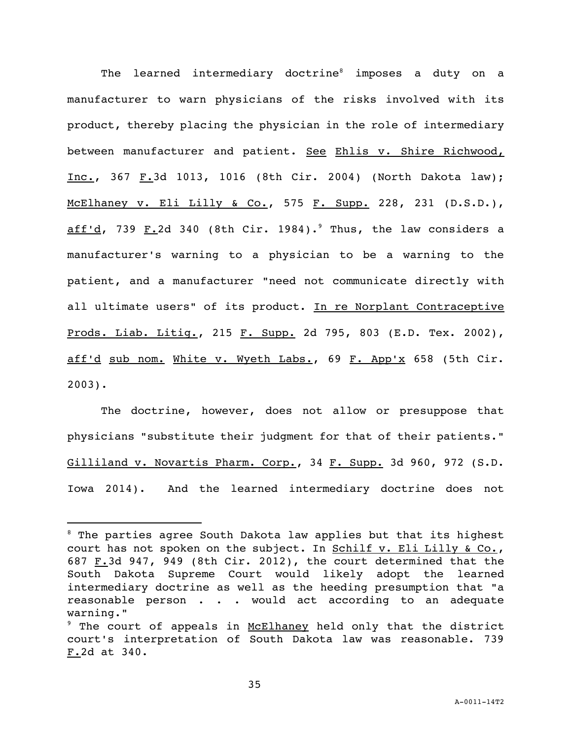The learned intermediary doctrine<sup>8</sup> imposes a duty on a manufacturer to warn physicians of the risks involved with its product, thereby placing the physician in the role of intermediary between manufacturer and patient. See Ehlis v. Shire Richwood, Inc., 367 F.3d 1013, 1016 (8th Cir. 2004) (North Dakota law); McElhaney v. Eli Lilly & Co., 575 F. Supp. 228, 231 (D.S.D.), aff'd, 739 F.2d 340 (8th Cir. 1984).<sup>9</sup> Thus, the law considers a manufacturer's warning to a physician to be a warning to the patient, and a manufacturer "need not communicate directly with all ultimate users" of its product. In re Norplant Contraceptive Prods. Liab. Litig., 215 F. Supp. 2d 795, 803 (E.D. Tex. 2002), aff'd sub nom. White v. Wyeth Labs., 69 F. App'x 658 (5th Cir. 2003).

The doctrine, however, does not allow or presuppose that physicians "substitute their judgment for that of their patients." Gilliland v. Novartis Pharm. Corp., 34 F. Supp. 3d 960, 972 (S.D. Iowa 2014). And the learned intermediary doctrine does not

i<br>L

 $8$  The parties agree South Dakota law applies but that its highest court has not spoken on the subject. In Schilf v. Eli Lilly & Co., 687  $F.3d$  947, 949 (8th Cir. 2012), the court determined that the South Dakota Supreme Court would likely adopt the learned intermediary doctrine as well as the heeding presumption that "a reasonable person . . . would act according to an adequate warning."

<sup>&</sup>lt;sup>9</sup> The court of appeals in McElhaney held only that the district court's interpretation of South Dakota law was reasonable. 739 F.2d at 340.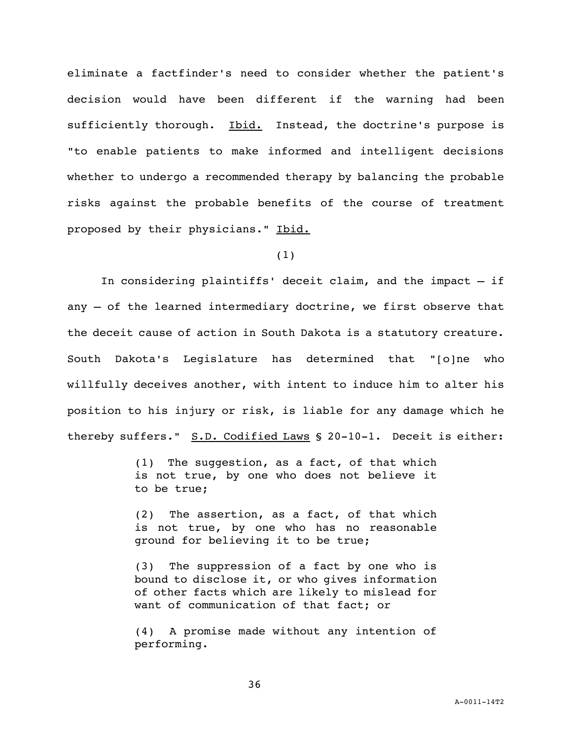eliminate a factfinder's need to consider whether the patient's decision would have been different if the warning had been sufficiently thorough. Ibid. Instead, the doctrine's purpose is "to enable patients to make informed and intelligent decisions whether to undergo a recommended therapy by balancing the probable risks against the probable benefits of the course of treatment proposed by their physicians." Ibid.

(1)

In considering plaintiffs' deceit claim, and the impact — if any — of the learned intermediary doctrine, we first observe that the deceit cause of action in South Dakota is a statutory creature. South Dakota's Legislature has determined that "[o]ne who willfully deceives another, with intent to induce him to alter his position to his injury or risk, is liable for any damage which he thereby suffers." S.D. Codified Laws § 20-10-1. Deceit is either:

> (1) The suggestion, as a fact, of that which is not true, by one who does not believe it to be true;

> (2) The assertion, as a fact, of that which is not true, by one who has no reasonable ground for believing it to be true;

> (3) The suppression of a fact by one who is bound to disclose it, or who gives information of other facts which are likely to mislead for want of communication of that fact; or

> (4) A promise made without any intention of performing.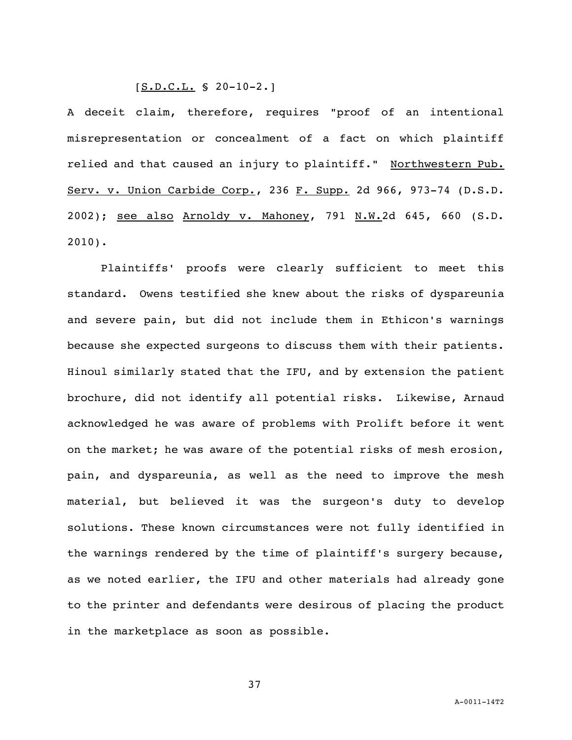### $[S.D.C.L. S 20-10-2.]$

A deceit claim, therefore, requires "proof of an intentional misrepresentation or concealment of a fact on which plaintiff relied and that caused an injury to plaintiff." Northwestern Pub. Serv. v. Union Carbide Corp., 236 F. Supp. 2d 966, 973-74 (D.S.D. 2002); see also Arnoldy v. Mahoney, 791 N.W.2d 645, 660 (S.D. 2010).

Plaintiffs' proofs were clearly sufficient to meet this standard. Owens testified she knew about the risks of dyspareunia and severe pain, but did not include them in Ethicon's warnings because she expected surgeons to discuss them with their patients. Hinoul similarly stated that the IFU, and by extension the patient brochure, did not identify all potential risks. Likewise, Arnaud acknowledged he was aware of problems with Prolift before it went on the market; he was aware of the potential risks of mesh erosion, pain, and dyspareunia, as well as the need to improve the mesh material, but believed it was the surgeon's duty to develop solutions. These known circumstances were not fully identified in the warnings rendered by the time of plaintiff's surgery because, as we noted earlier, the IFU and other materials had already gone to the printer and defendants were desirous of placing the product in the marketplace as soon as possible.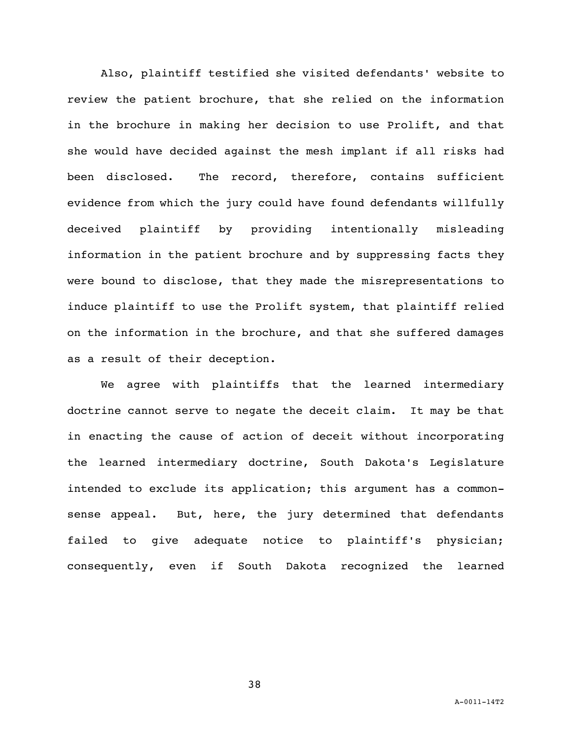Also, plaintiff testified she visited defendants' website to review the patient brochure, that she relied on the information in the brochure in making her decision to use Prolift, and that she would have decided against the mesh implant if all risks had been disclosed. The record, therefore, contains sufficient evidence from which the jury could have found defendants willfully deceived plaintiff by providing intentionally misleading information in the patient brochure and by suppressing facts they were bound to disclose, that they made the misrepresentations to induce plaintiff to use the Prolift system, that plaintiff relied on the information in the brochure, and that she suffered damages as a result of their deception.

We agree with plaintiffs that the learned intermediary doctrine cannot serve to negate the deceit claim. It may be that in enacting the cause of action of deceit without incorporating the learned intermediary doctrine, South Dakota's Legislature intended to exclude its application; this argument has a commonsense appeal. But, here, the jury determined that defendants failed to give adequate notice to plaintiff's physician; consequently, even if South Dakota recognized the learned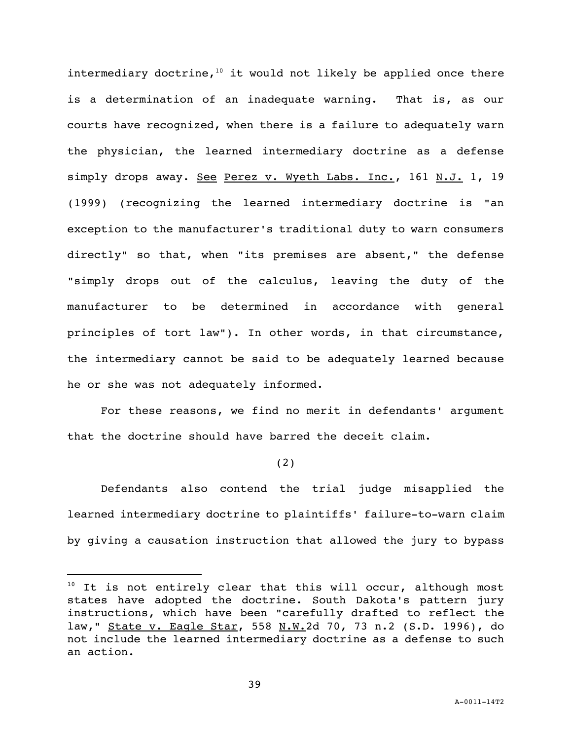intermediary doctrine,<sup>10</sup> it would not likely be applied once there is a determination of an inadequate warning. That is, as our courts have recognized, when there is a failure to adequately warn the physician, the learned intermediary doctrine as a defense simply drops away. See Perez v. Wyeth Labs. Inc., 161 N.J. 1, 19 (1999) (recognizing the learned intermediary doctrine is "an exception to the manufacturer's traditional duty to warn consumers directly" so that, when "its premises are absent," the defense "simply drops out of the calculus, leaving the duty of the manufacturer to be determined in accordance with general principles of tort law"). In other words, in that circumstance, the intermediary cannot be said to be adequately learned because he or she was not adequately informed.

For these reasons, we find no merit in defendants' argument that the doctrine should have barred the deceit claim.

(2)

Defendants also contend the trial judge misapplied the learned intermediary doctrine to plaintiffs' failure-to-warn claim by giving a causation instruction that allowed the jury to bypass

i<br>L

 $10$  It is not entirely clear that this will occur, although most states have adopted the doctrine. South Dakota's pattern jury instructions, which have been "carefully drafted to reflect the law," State v. Eagle Star, 558 N.W.2d 70, 73 n.2 (S.D. 1996), do not include the learned intermediary doctrine as a defense to such an action.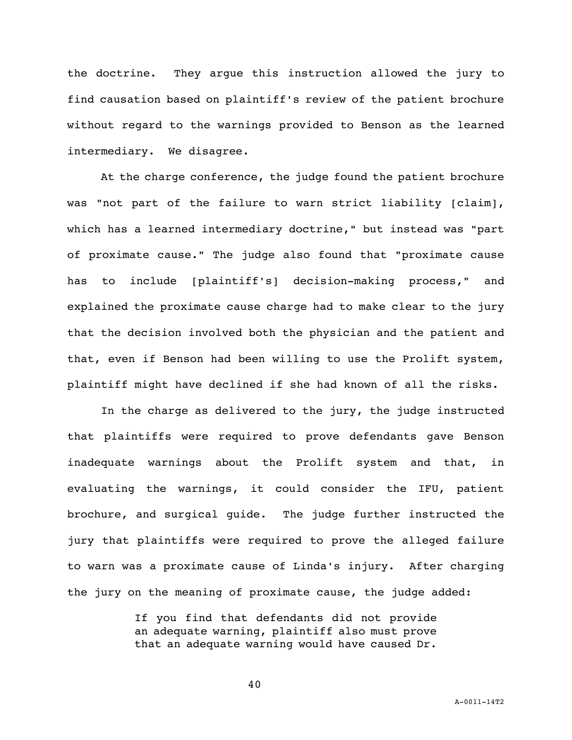the doctrine. They argue this instruction allowed the jury to find causation based on plaintiff's review of the patient brochure without regard to the warnings provided to Benson as the learned intermediary. We disagree.

At the charge conference, the judge found the patient brochure was "not part of the failure to warn strict liability [claim], which has a learned intermediary doctrine," but instead was "part of proximate cause." The judge also found that "proximate cause has to include [plaintiff's] decision-making process," and explained the proximate cause charge had to make clear to the jury that the decision involved both the physician and the patient and that, even if Benson had been willing to use the Prolift system, plaintiff might have declined if she had known of all the risks.

 In the charge as delivered to the jury, the judge instructed that plaintiffs were required to prove defendants gave Benson inadequate warnings about the Prolift system and that, in evaluating the warnings, it could consider the IFU, patient brochure, and surgical guide. The judge further instructed the jury that plaintiffs were required to prove the alleged failure to warn was a proximate cause of Linda's injury. After charging the jury on the meaning of proximate cause, the judge added:

> If you find that defendants did not provide an adequate warning, plaintiff also must prove that an adequate warning would have caused Dr.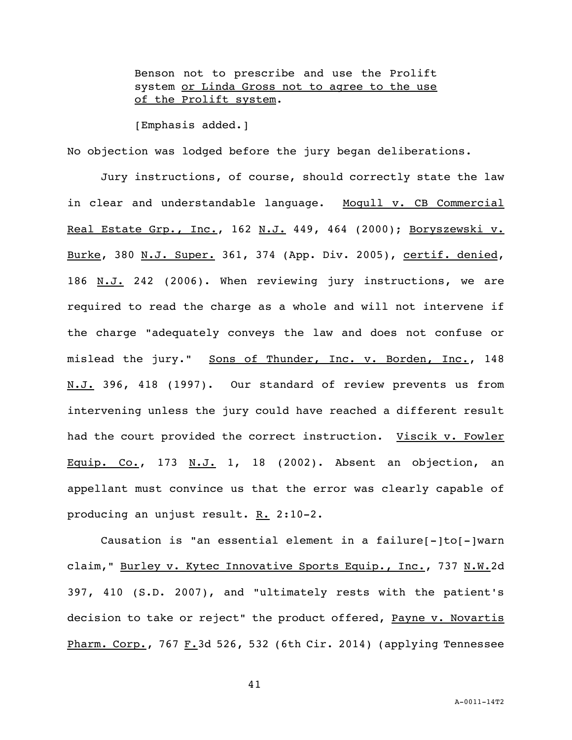Benson not to prescribe and use the Prolift system or Linda Gross not to agree to the use of the Prolift system.

[Emphasis added.]

No objection was lodged before the jury began deliberations.

Jury instructions, of course, should correctly state the law in clear and understandable language. Moqull v. CB Commercial Real Estate Grp., Inc., 162 N.J. 449, 464 (2000); Boryszewski v. Burke, 380 N.J. Super. 361, 374 (App. Div. 2005), certif. denied, 186 N.J. 242 (2006). When reviewing jury instructions, we are required to read the charge as a whole and will not intervene if the charge "adequately conveys the law and does not confuse or mislead the jury." Sons of Thunder, Inc. v. Borden, Inc., 148 N.J. 396, 418 (1997). Our standard of review prevents us from intervening unless the jury could have reached a different result had the court provided the correct instruction. Viscik v. Fowler Equip. Co., 173 N.J. 1, 18 (2002). Absent an objection, an appellant must convince us that the error was clearly capable of producing an unjust result. R. 2:10-2.

Causation is "an essential element in a failure[-]to[-]warn claim," Burley v. Kytec Innovative Sports Equip., Inc., 737 N.W.2d 397, 410 (S.D. 2007), and "ultimately rests with the patient's decision to take or reject" the product offered, Payne v. Novartis Pharm. Corp., 767 F.3d 526, 532 (6th Cir. 2014) (applying Tennessee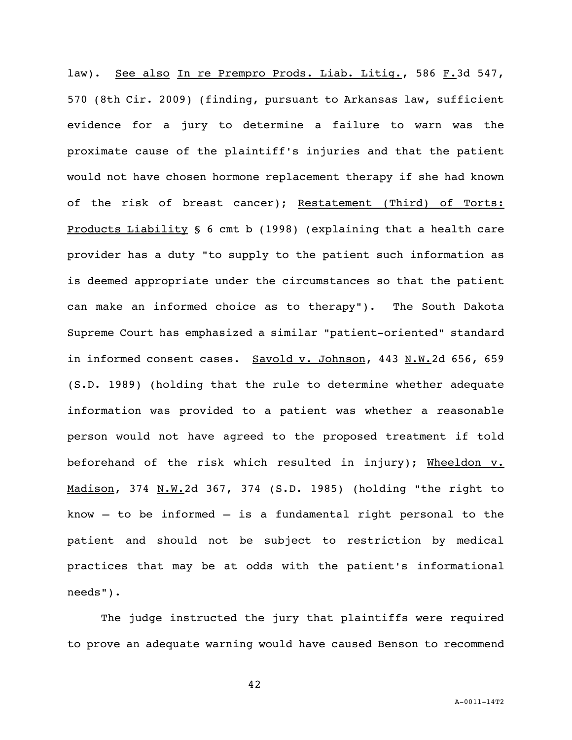law). See also In re Prempro Prods. Liab. Litiq., 586 F.3d 547, 570 (8th Cir. 2009) (finding, pursuant to Arkansas law, sufficient evidence for a jury to determine a failure to warn was the proximate cause of the plaintiff's injuries and that the patient would not have chosen hormone replacement therapy if she had known of the risk of breast cancer); Restatement (Third) of Torts: Products Liability § 6 cmt b (1998) (explaining that a health care provider has a duty "to supply to the patient such information as is deemed appropriate under the circumstances so that the patient can make an informed choice as to therapy"). The South Dakota Supreme Court has emphasized a similar "patient-oriented" standard in informed consent cases. Savold v. Johnson, 443 N.W.2d 656, 659 (S.D. 1989) (holding that the rule to determine whether adequate information was provided to a patient was whether a reasonable person would not have agreed to the proposed treatment if told beforehand of the risk which resulted in injury); Wheeldon v. Madison, 374 N.W.2d 367, 374 (S.D. 1985) (holding "the right to know  $-$  to be informed  $-$  is a fundamental right personal to the patient and should not be subject to restriction by medical practices that may be at odds with the patient's informational needs").

The judge instructed the jury that plaintiffs were required to prove an adequate warning would have caused Benson to recommend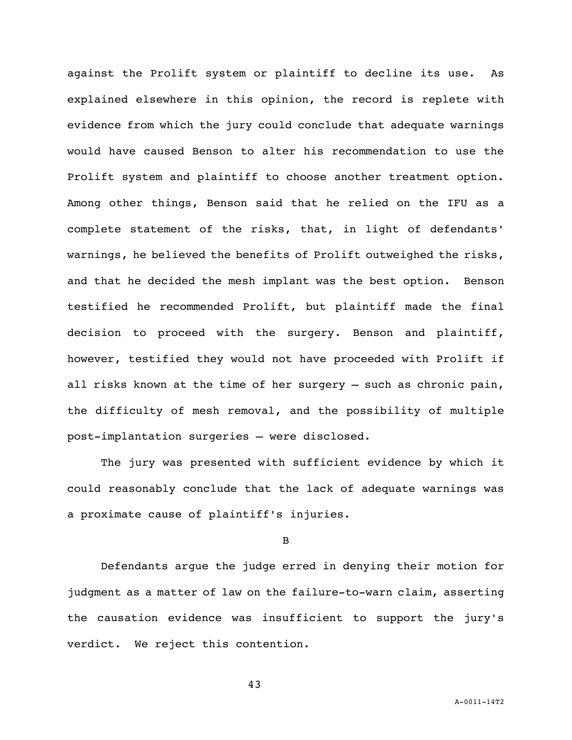against the Prolift system or plaintiff to decline its use. As explained elsewhere in this opinion, the record is replete with evidence from which the jury could conclude that adequate warnings would have caused Benson to alter his recommendation to use the Prolift system and plaintiff to choose another treatment option. Among other things, Benson said that he relied on the IFU as a complete statement of the risks, that, in light of defendants' warnings, he believed the benefits of Prolift outweighed the risks, and that he decided the mesh implant was the best option. Benson testified he recommended Prolift, but plaintiff made the final decision to proceed with the surgery. Benson and plaintiff, however, testified they would not have proceeded with Prolift if all risks known at the time of her surgery — such as chronic pain, the difficulty of mesh removal, and the possibility of multiple post-implantation surgeries — were disclosed.

The jury was presented with sufficient evidence by which it could reasonably conclude that the lack of adequate warnings was a proximate cause of plaintiff's injuries.

B

Defendants argue the judge erred in denying their motion for judgment as a matter of law on the failure-to-warn claim, asserting the causation evidence was insufficient to support the jury's verdict. We reject this contention.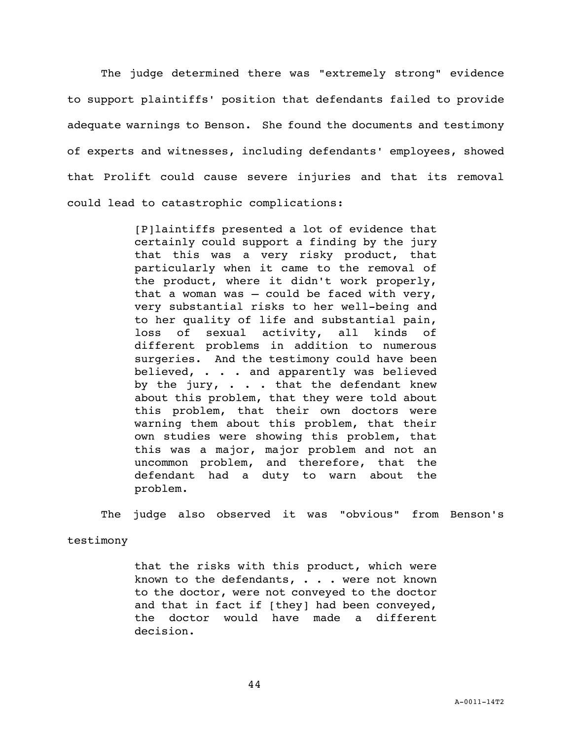The judge determined there was "extremely strong" evidence to support plaintiffs' position that defendants failed to provide adequate warnings to Benson. She found the documents and testimony of experts and witnesses, including defendants' employees, showed that Prolift could cause severe injuries and that its removal could lead to catastrophic complications:

> [P]laintiffs presented a lot of evidence that certainly could support a finding by the jury that this was a very risky product, that particularly when it came to the removal of the product, where it didn't work properly, that a woman was  $-$  could be faced with very, very substantial risks to her well-being and to her quality of life and substantial pain, loss of sexual activity, all kinds of different problems in addition to numerous surgeries. And the testimony could have been believed, . . . and apparently was believed by the jury, . . . that the defendant knew about this problem, that they were told about this problem, that their own doctors were warning them about this problem, that their own studies were showing this problem, that this was a major, major problem and not an uncommon problem, and therefore, that the defendant had a duty to warn about the problem.

The judge also observed it was "obvious" from Benson's

testimony

that the risks with this product, which were known to the defendants, . . . were not known to the doctor, were not conveyed to the doctor and that in fact if [they] had been conveyed, the doctor would have made a different decision.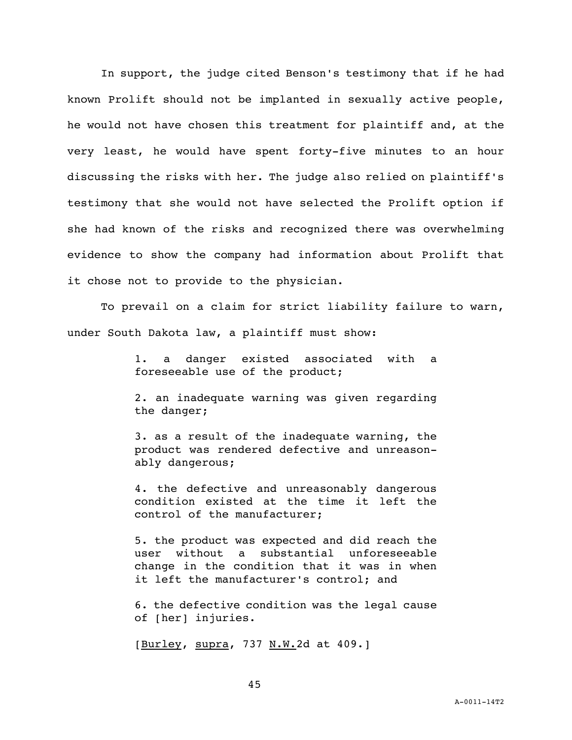In support, the judge cited Benson's testimony that if he had known Prolift should not be implanted in sexually active people, he would not have chosen this treatment for plaintiff and, at the very least, he would have spent forty-five minutes to an hour discussing the risks with her. The judge also relied on plaintiff's testimony that she would not have selected the Prolift option if she had known of the risks and recognized there was overwhelming evidence to show the company had information about Prolift that it chose not to provide to the physician.

To prevail on a claim for strict liability failure to warn, under South Dakota law, a plaintiff must show:

> 1. a danger existed associated with a foreseeable use of the product;

> 2. an inadequate warning was given regarding the danger;

> 3. as a result of the inadequate warning, the product was rendered defective and unreasonably dangerous;

> 4. the defective and unreasonably dangerous condition existed at the time it left the control of the manufacturer;

> 5. the product was expected and did reach the user without a substantial unforeseeable change in the condition that it was in when it left the manufacturer's control; and

> 6. the defective condition was the legal cause of [her] injuries.

[Burley, supra, 737 N.W.2d at 409.]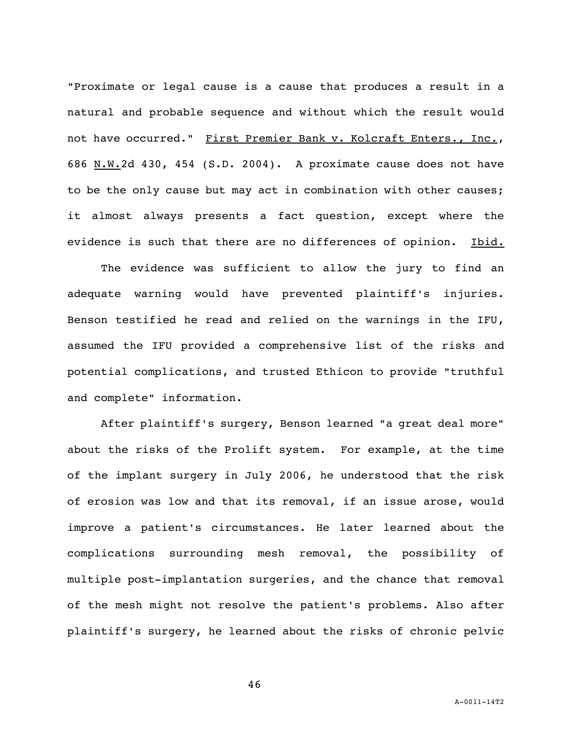"Proximate or legal cause is a cause that produces a result in a natural and probable sequence and without which the result would not have occurred." First Premier Bank v. Kolcraft Enters., Inc., 686 N.W.2d 430, 454 (S.D. 2004). A proximate cause does not have to be the only cause but may act in combination with other causes; it almost always presents a fact question, except where the evidence is such that there are no differences of opinion. Ibid.

The evidence was sufficient to allow the jury to find an adequate warning would have prevented plaintiff's injuries. Benson testified he read and relied on the warnings in the IFU, assumed the IFU provided a comprehensive list of the risks and potential complications, and trusted Ethicon to provide "truthful and complete" information.

After plaintiff's surgery, Benson learned "a great deal more" about the risks of the Prolift system. For example, at the time of the implant surgery in July 2006, he understood that the risk of erosion was low and that its removal, if an issue arose, would improve a patient's circumstances. He later learned about the complications surrounding mesh removal, the possibility of multiple post-implantation surgeries, and the chance that removal of the mesh might not resolve the patient's problems. Also after plaintiff's surgery, he learned about the risks of chronic pelvic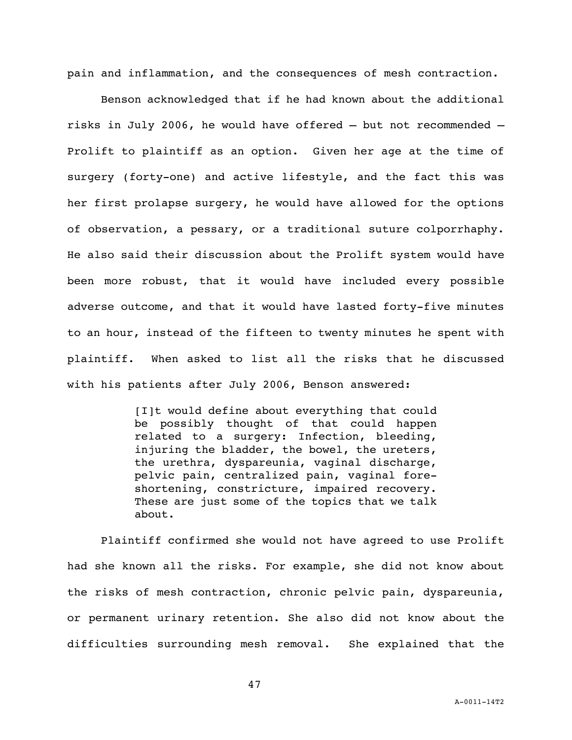pain and inflammation, and the consequences of mesh contraction.

Benson acknowledged that if he had known about the additional risks in July 2006, he would have offered — but not recommended — Prolift to plaintiff as an option. Given her age at the time of surgery (forty-one) and active lifestyle, and the fact this was her first prolapse surgery, he would have allowed for the options of observation, a pessary, or a traditional suture colporrhaphy. He also said their discussion about the Prolift system would have been more robust, that it would have included every possible adverse outcome, and that it would have lasted forty-five minutes to an hour, instead of the fifteen to twenty minutes he spent with plaintiff. When asked to list all the risks that he discussed with his patients after July 2006, Benson answered:

> [I]t would define about everything that could be possibly thought of that could happen related to a surgery: Infection, bleeding, injuring the bladder, the bowel, the ureters, the urethra, dyspareunia, vaginal discharge, pelvic pain, centralized pain, vaginal foreshortening, constricture, impaired recovery. These are just some of the topics that we talk about.

Plaintiff confirmed she would not have agreed to use Prolift had she known all the risks. For example, she did not know about the risks of mesh contraction, chronic pelvic pain, dyspareunia, or permanent urinary retention. She also did not know about the difficulties surrounding mesh removal. She explained that the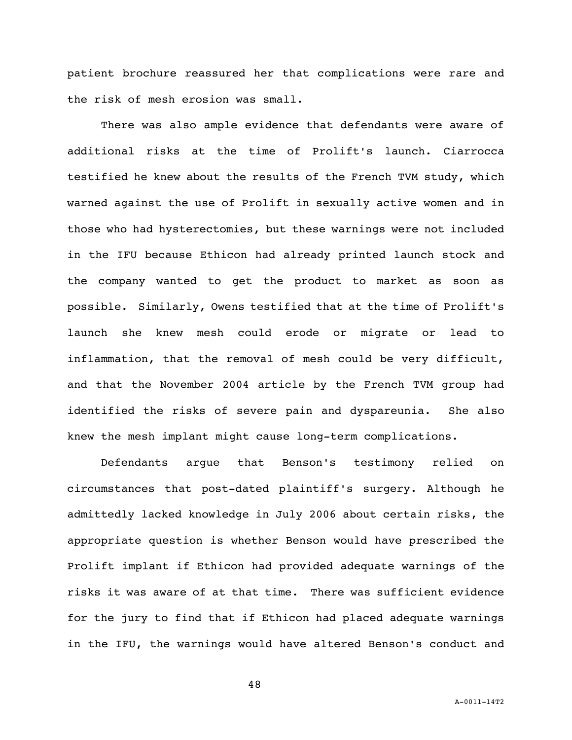patient brochure reassured her that complications were rare and the risk of mesh erosion was small.

There was also ample evidence that defendants were aware of additional risks at the time of Prolift's launch. Ciarrocca testified he knew about the results of the French TVM study, which warned against the use of Prolift in sexually active women and in those who had hysterectomies, but these warnings were not included in the IFU because Ethicon had already printed launch stock and the company wanted to get the product to market as soon as possible. Similarly, Owens testified that at the time of Prolift's launch she knew mesh could erode or migrate or lead to inflammation, that the removal of mesh could be very difficult, and that the November 2004 article by the French TVM group had identified the risks of severe pain and dyspareunia. She also knew the mesh implant might cause long-term complications.

Defendants argue that Benson's testimony relied on circumstances that post-dated plaintiff's surgery. Although he admittedly lacked knowledge in July 2006 about certain risks, the appropriate question is whether Benson would have prescribed the Prolift implant if Ethicon had provided adequate warnings of the risks it was aware of at that time. There was sufficient evidence for the jury to find that if Ethicon had placed adequate warnings in the IFU, the warnings would have altered Benson's conduct and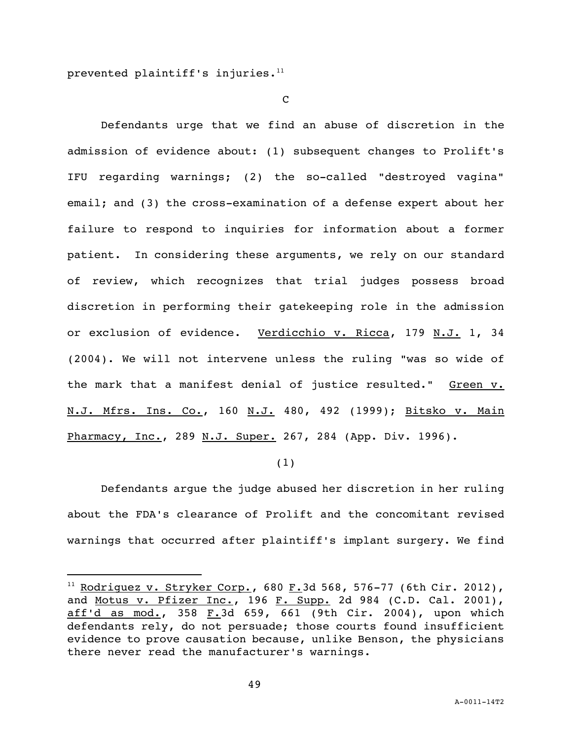prevented plaintiff's injuries. $11$ 

i<br>L

C

Defendants urge that we find an abuse of discretion in the admission of evidence about: (1) subsequent changes to Prolift's IFU regarding warnings; (2) the so-called "destroyed vagina" email; and (3) the cross-examination of a defense expert about her failure to respond to inquiries for information about a former patient. In considering these arguments, we rely on our standard of review, which recognizes that trial judges possess broad discretion in performing their gatekeeping role in the admission or exclusion of evidence. Verdicchio v. Ricca, 179 N.J. 1, 34 (2004). We will not intervene unless the ruling "was so wide of the mark that a manifest denial of justice resulted." Green v. N.J. Mfrs. Ins. Co., 160 N.J. 480, 492 (1999); Bitsko v. Main Pharmacy, Inc., 289 N.J. Super. 267, 284 (App. Div. 1996).

(1)

Defendants argue the judge abused her discretion in her ruling about the FDA's clearance of Prolift and the concomitant revised warnings that occurred after plaintiff's implant surgery. We find

 $11$  Rodriguez v. Stryker Corp., 680 F.3d 568, 576-77 (6th Cir. 2012), and Motus v. Pfizer Inc., 196 F. Supp. 2d 984 (C.D. Cal. 2001), aff'd as mod., 358 F.3d 659, 661 (9th Cir. 2004), upon which defendants rely, do not persuade; those courts found insufficient evidence to prove causation because, unlike Benson, the physicians there never read the manufacturer's warnings.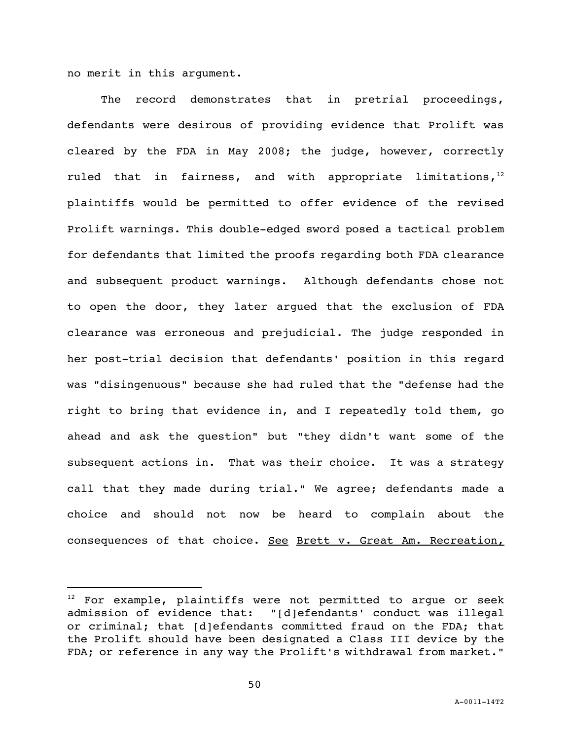no merit in this argument.

i<br>L

The record demonstrates that in pretrial proceedings, defendants were desirous of providing evidence that Prolift was cleared by the FDA in May 2008; the judge, however, correctly ruled that in fairness, and with appropriate limitations,  $12$ plaintiffs would be permitted to offer evidence of the revised Prolift warnings. This double-edged sword posed a tactical problem for defendants that limited the proofs regarding both FDA clearance and subsequent product warnings. Although defendants chose not to open the door, they later argued that the exclusion of FDA clearance was erroneous and prejudicial. The judge responded in her post-trial decision that defendants' position in this regard was "disingenuous" because she had ruled that the "defense had the right to bring that evidence in, and I repeatedly told them, go ahead and ask the question" but "they didn't want some of the subsequent actions in. That was their choice. It was a strategy call that they made during trial." We agree; defendants made a choice and should not now be heard to complain about the consequences of that choice. See Brett v. Great Am. Recreation,

 $12$  For example, plaintiffs were not permitted to arque or seek admission of evidence that: "[d]efendants' conduct was illegal or criminal; that [d]efendants committed fraud on the FDA; that the Prolift should have been designated a Class III device by the FDA; or reference in any way the Prolift's withdrawal from market."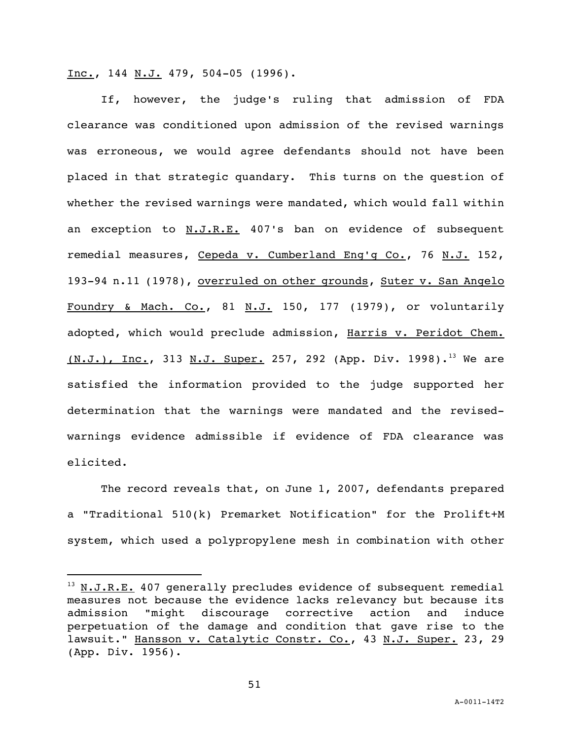$Inc., 144 N.J. 479, 504-05 (1996).$ </u>

If, however, the judge's ruling that admission of FDA clearance was conditioned upon admission of the revised warnings was erroneous, we would agree defendants should not have been placed in that strategic quandary. This turns on the question of whether the revised warnings were mandated, which would fall within an exception to  $N.J.R.E.$  407's ban on evidence of subsequent remedial measures, Cepeda v. Cumberland Eng'g Co., 76 N.J. 152, 193-94 n.11 (1978), overruled on other grounds, Suter v. San Angelo Foundry & Mach. Co., 81  $N.J.$  150, 177 (1979), or voluntarily adopted, which would preclude admission, Harris v. Peridot Chem.  $(N.J.)$ , Inc., 313 N.J. Super. 257, 292 (App. Div. 1998).<sup>13</sup> We are satisfied the information provided to the judge supported her determination that the warnings were mandated and the revisedwarnings evidence admissible if evidence of FDA clearance was elicited.

The record reveals that, on June 1, 2007, defendants prepared a "Traditional 510(k) Premarket Notification" for the Prolift+M system, which used a polypropylene mesh in combination with other

i<br>L

 $13$  N.J.R.E. 407 generally precludes evidence of subsequent remedial measures not because the evidence lacks relevancy but because its admission "might discourage corrective action and induce perpetuation of the damage and condition that gave rise to the lawsuit." Hansson v. Catalytic Constr. Co., 43 N.J. Super. 23, 29 (App. Div. 1956).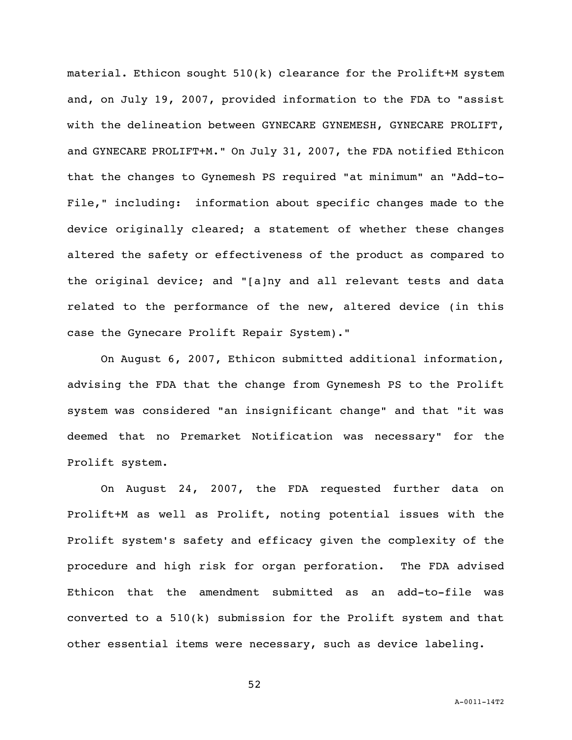material. Ethicon sought  $510(k)$  clearance for the Prolift+M system and, on July 19, 2007, provided information to the FDA to "assist with the delineation between GYNECARE GYNEMESH, GYNECARE PROLIFT, and GYNECARE PROLIFT+M." On July 31, 2007, the FDA notified Ethicon that the changes to Gynemesh PS required "at minimum" an "Add-to-File," including: information about specific changes made to the device originally cleared; a statement of whether these changes altered the safety or effectiveness of the product as compared to the original device; and "[a]ny and all relevant tests and data related to the performance of the new, altered device (in this case the Gynecare Prolift Repair System)."

On August 6, 2007, Ethicon submitted additional information, advising the FDA that the change from Gynemesh PS to the Prolift system was considered "an insignificant change" and that "it was deemed that no Premarket Notification was necessary" for the Prolift system.

On August 24, 2007, the FDA requested further data on Prolift+M as well as Prolift, noting potential issues with the Prolift system's safety and efficacy given the complexity of the procedure and high risk for organ perforation. The FDA advised Ethicon that the amendment submitted as an add-to-file was converted to a  $510(k)$  submission for the Prolift system and that other essential items were necessary, such as device labeling.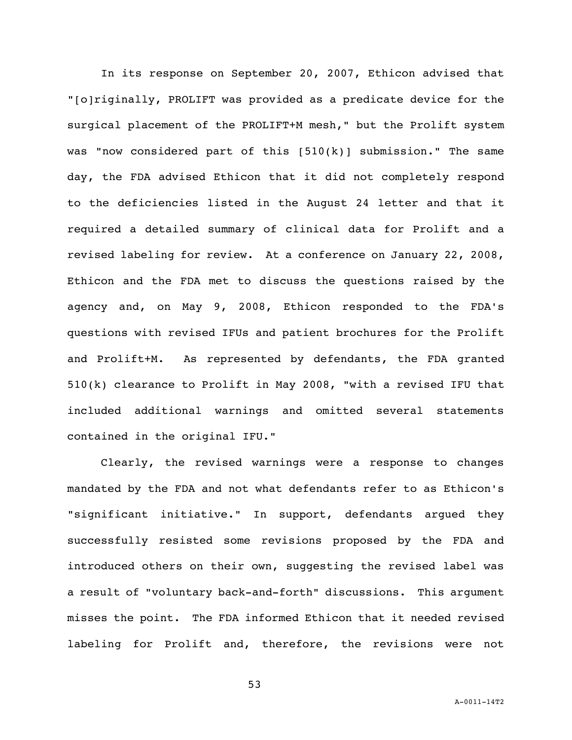In its response on September 20, 2007, Ethicon advised that "[o]riginally, PROLIFT was provided as a predicate device for the surgical placement of the PROLIFT+M mesh," but the Prolift system was "now considered part of this [510(k)] submission." The same day, the FDA advised Ethicon that it did not completely respond to the deficiencies listed in the August 24 letter and that it required a detailed summary of clinical data for Prolift and a revised labeling for review. At a conference on January 22, 2008, Ethicon and the FDA met to discuss the questions raised by the agency and, on May 9, 2008, Ethicon responded to the FDA's questions with revised IFUs and patient brochures for the Prolift and Prolift+M. As represented by defendants, the FDA granted 510(k) clearance to Prolift in May 2008, "with a revised IFU that included additional warnings and omitted several statements contained in the original IFU."

Clearly, the revised warnings were a response to changes mandated by the FDA and not what defendants refer to as Ethicon's "significant initiative." In support, defendants argued they successfully resisted some revisions proposed by the FDA and introduced others on their own, suggesting the revised label was a result of "voluntary back-and-forth" discussions. This argument misses the point. The FDA informed Ethicon that it needed revised labeling for Prolift and, therefore, the revisions were not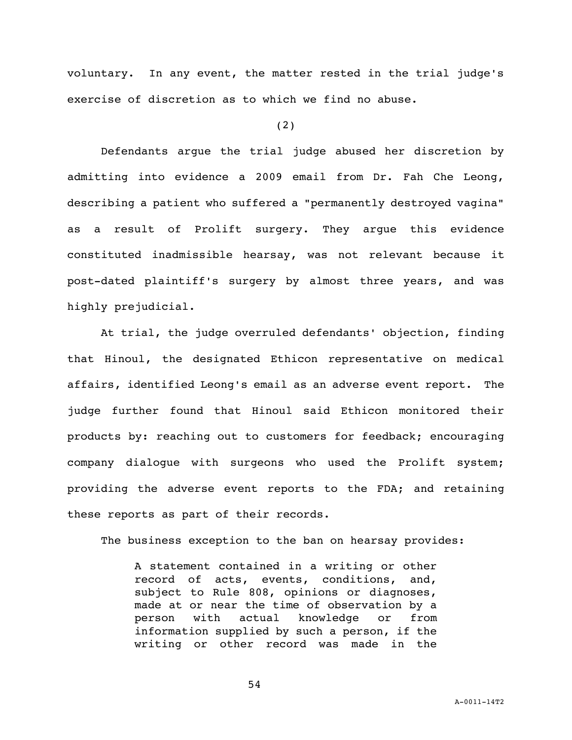voluntary. In any event, the matter rested in the trial judge's exercise of discretion as to which we find no abuse.

(2)

Defendants argue the trial judge abused her discretion by admitting into evidence a 2009 email from Dr. Fah Che Leong, describing a patient who suffered a "permanently destroyed vagina" as a result of Prolift surgery. They argue this evidence constituted inadmissible hearsay, was not relevant because it post-dated plaintiff's surgery by almost three years, and was highly prejudicial.

At trial, the judge overruled defendants' objection, finding that Hinoul, the designated Ethicon representative on medical affairs, identified Leong's email as an adverse event report. The judge further found that Hinoul said Ethicon monitored their products by: reaching out to customers for feedback; encouraging company dialogue with surgeons who used the Prolift system; providing the adverse event reports to the FDA; and retaining these reports as part of their records.

The business exception to the ban on hearsay provides:

A statement contained in a writing or other record of acts, events, conditions, and, subject to Rule 808, opinions or diagnoses, made at or near the time of observation by a person with actual knowledge or from information supplied by such a person, if the writing or other record was made in the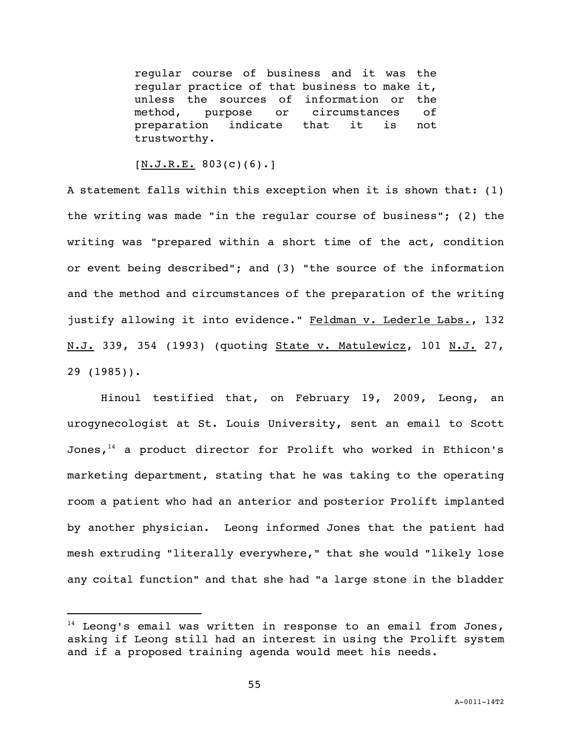regular course of business and it was the regular practice of that business to make it, unless the sources of information or the method, purpose or circumstances of preparation indicate that it is not trustworthy.

 $[N.J.R.E. 803(c)(6).]$ 

A statement falls within this exception when it is shown that: (1) the writing was made "in the regular course of business"; (2) the writing was "prepared within a short time of the act, condition or event being described"; and (3) "the source of the information and the method and circumstances of the preparation of the writing justify allowing it into evidence." Feldman v. Lederle Labs., 132 N.J. 339, 354 (1993) (quoting State v. Matulewicz, 101 N.J. 27, 29 (1985)).

Hinoul testified that, on February 19, 2009, Leong, an urogynecologist at St. Louis University, sent an email to Scott Jones, $14$  a product director for Prolift who worked in Ethicon's marketing department, stating that he was taking to the operating room a patient who had an anterior and posterior Prolift implanted by another physician. Leong informed Jones that the patient had mesh extruding "literally everywhere," that she would "likely lose any coital function" and that she had "a large stone in the bladder

i<br>L

 $14$  Leong's email was written in response to an email from Jones, asking if Leong still had an interest in using the Prolift system and if a proposed training agenda would meet his needs.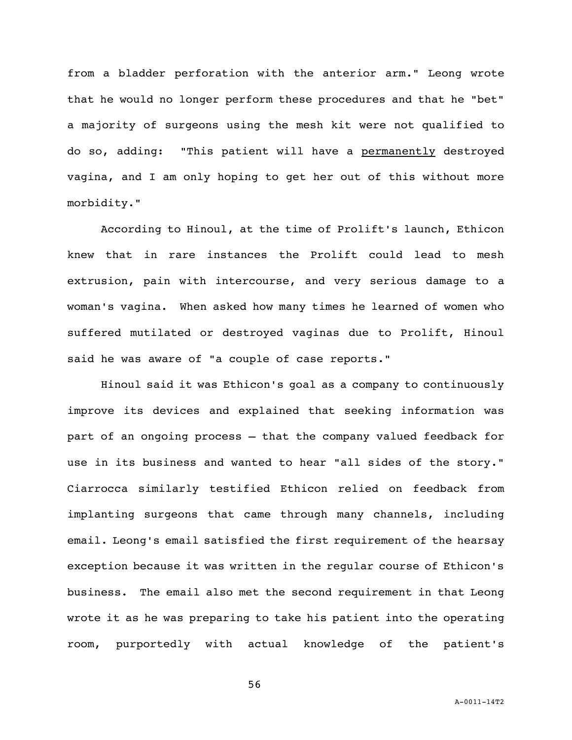from a bladder perforation with the anterior arm." Leong wrote that he would no longer perform these procedures and that he "bet" a majority of surgeons using the mesh kit were not qualified to do so, adding: "This patient will have a permanently destroyed vagina, and I am only hoping to get her out of this without more morbidity."

According to Hinoul, at the time of Prolift's launch, Ethicon knew that in rare instances the Prolift could lead to mesh extrusion, pain with intercourse, and very serious damage to a woman's vagina. When asked how many times he learned of women who suffered mutilated or destroyed vaginas due to Prolift, Hinoul said he was aware of "a couple of case reports."

Hinoul said it was Ethicon's goal as a company to continuously improve its devices and explained that seeking information was part of an ongoing process — that the company valued feedback for use in its business and wanted to hear "all sides of the story." Ciarrocca similarly testified Ethicon relied on feedback from implanting surgeons that came through many channels, including email. Leong's email satisfied the first requirement of the hearsay exception because it was written in the regular course of Ethicon's business. The email also met the second requirement in that Leong wrote it as he was preparing to take his patient into the operating room, purportedly with actual knowledge of the patient's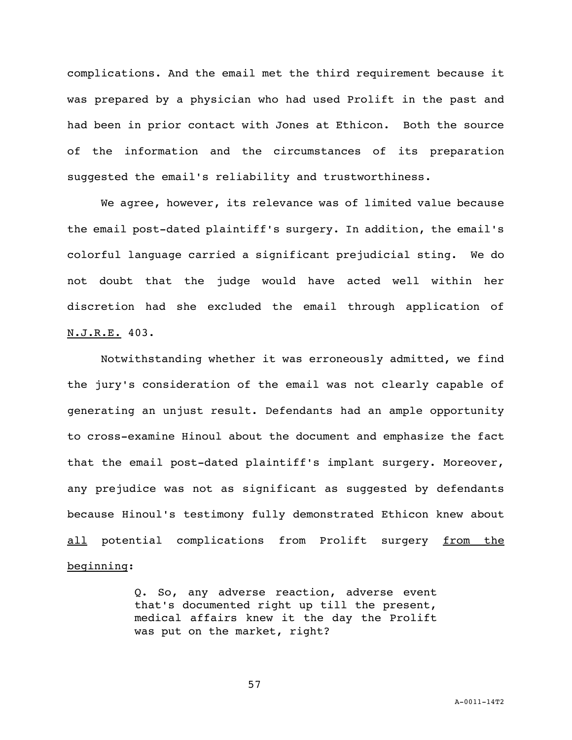complications. And the email met the third requirement because it was prepared by a physician who had used Prolift in the past and had been in prior contact with Jones at Ethicon. Both the source of the information and the circumstances of its preparation suggested the email's reliability and trustworthiness.

We agree, however, its relevance was of limited value because the email post-dated plaintiff's surgery. In addition, the email's colorful language carried a significant prejudicial sting. We do not doubt that the judge would have acted well within her discretion had she excluded the email through application of N.J.R.E. 403.

Notwithstanding whether it was erroneously admitted, we find the jury's consideration of the email was not clearly capable of generating an unjust result. Defendants had an ample opportunity to cross-examine Hinoul about the document and emphasize the fact that the email post-dated plaintiff's implant surgery. Moreover, any prejudice was not as significant as suggested by defendants because Hinoul's testimony fully demonstrated Ethicon knew about all potential complications from Prolift surgery from the beginning:

> Q. So, any adverse reaction, adverse event that's documented right up till the present, medical affairs knew it the day the Prolift was put on the market, right?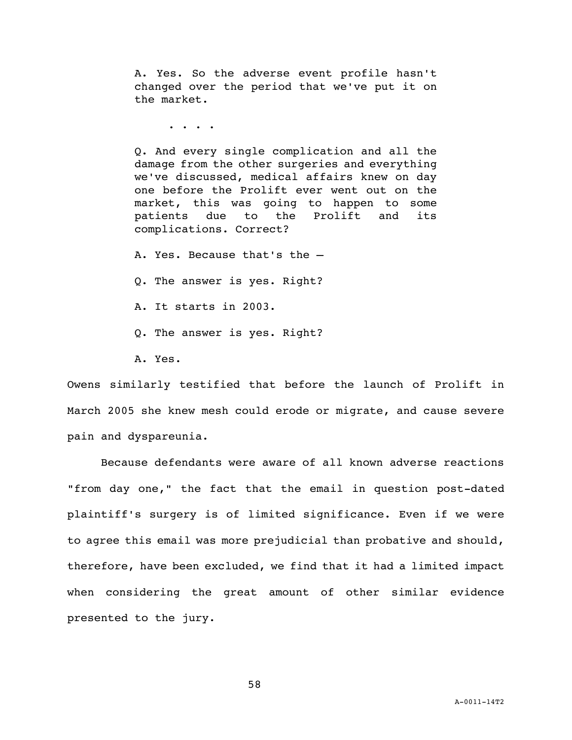A. Yes. So the adverse event profile hasn't changed over the period that we've put it on the market.

. . . .

Q. And every single complication and all the damage from the other surgeries and everything we've discussed, medical affairs knew on day one before the Prolift ever went out on the market, this was going to happen to some patients due to the Prolift and its complications. Correct?

A. Yes. Because that's the —

Q. The answer is yes. Right?

- A. It starts in 2003.
- Q. The answer is yes. Right?
- A. Yes.

Owens similarly testified that before the launch of Prolift in March 2005 she knew mesh could erode or migrate, and cause severe pain and dyspareunia.

Because defendants were aware of all known adverse reactions "from day one," the fact that the email in question post-dated plaintiff's surgery is of limited significance. Even if we were to agree this email was more prejudicial than probative and should, therefore, have been excluded, we find that it had a limited impact when considering the great amount of other similar evidence presented to the jury.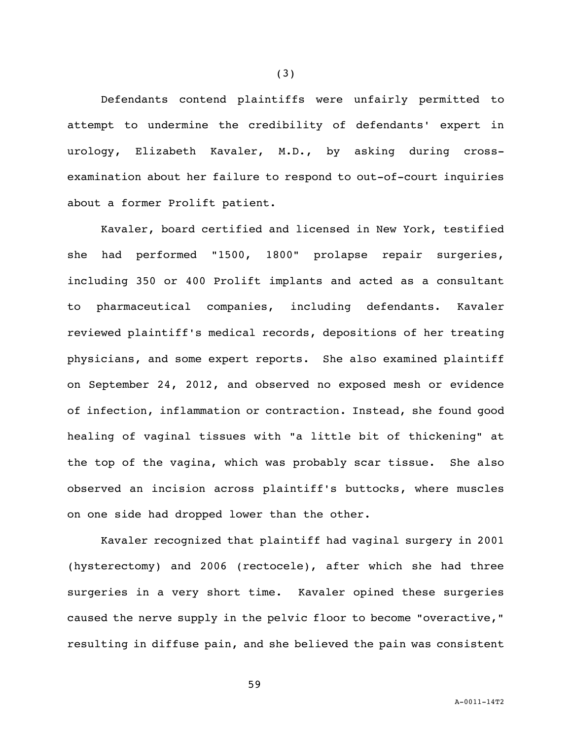Defendants contend plaintiffs were unfairly permitted to attempt to undermine the credibility of defendants' expert in urology, Elizabeth Kavaler, M.D., by asking during crossexamination about her failure to respond to out-of-court inquiries about a former Prolift patient.

Kavaler, board certified and licensed in New York, testified she had performed "1500, 1800" prolapse repair surgeries, including 350 or 400 Prolift implants and acted as a consultant to pharmaceutical companies, including defendants. Kavaler reviewed plaintiff's medical records, depositions of her treating physicians, and some expert reports. She also examined plaintiff on September 24, 2012, and observed no exposed mesh or evidence of infection, inflammation or contraction. Instead, she found good healing of vaginal tissues with "a little bit of thickening" at the top of the vagina, which was probably scar tissue. She also observed an incision across plaintiff's buttocks, where muscles on one side had dropped lower than the other.

Kavaler recognized that plaintiff had vaginal surgery in 2001 (hysterectomy) and 2006 (rectocele), after which she had three surgeries in a very short time. Kavaler opined these surgeries caused the nerve supply in the pelvic floor to become "overactive," resulting in diffuse pain, and she believed the pain was consistent

59

(3)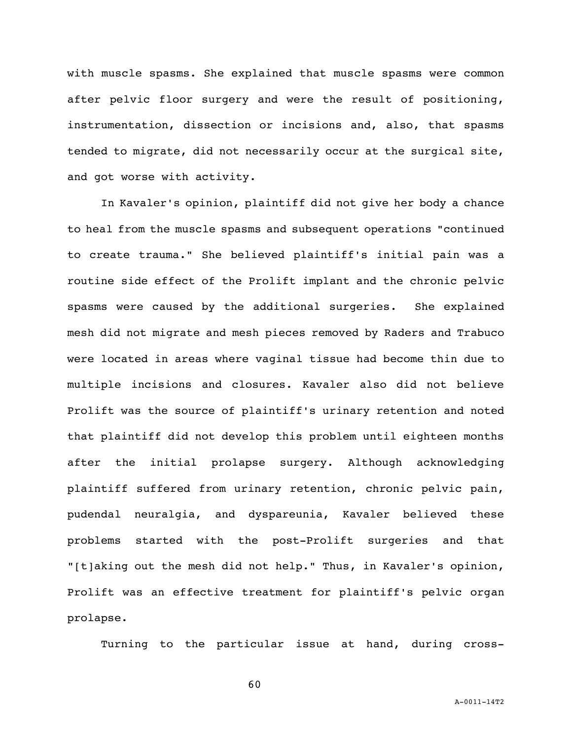with muscle spasms. She explained that muscle spasms were common after pelvic floor surgery and were the result of positioning, instrumentation, dissection or incisions and, also, that spasms tended to migrate, did not necessarily occur at the surgical site, and got worse with activity.

In Kavaler's opinion, plaintiff did not give her body a chance to heal from the muscle spasms and subsequent operations "continued to create trauma." She believed plaintiff's initial pain was a routine side effect of the Prolift implant and the chronic pelvic spasms were caused by the additional surgeries. She explained mesh did not migrate and mesh pieces removed by Raders and Trabuco were located in areas where vaginal tissue had become thin due to multiple incisions and closures. Kavaler also did not believe Prolift was the source of plaintiff's urinary retention and noted that plaintiff did not develop this problem until eighteen months after the initial prolapse surgery. Although acknowledging plaintiff suffered from urinary retention, chronic pelvic pain, pudendal neuralgia, and dyspareunia, Kavaler believed these problems started with the post-Prolift surgeries and that "[t]aking out the mesh did not help." Thus, in Kavaler's opinion, Prolift was an effective treatment for plaintiff's pelvic organ prolapse.

Turning to the particular issue at hand, during cross-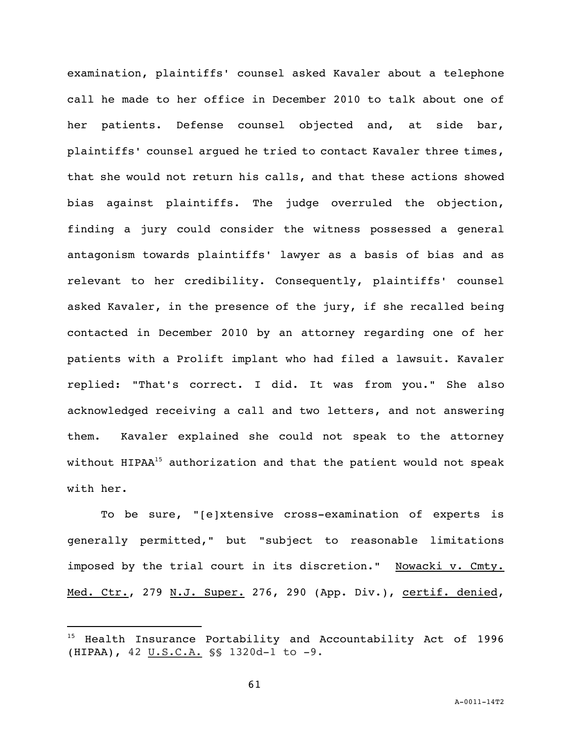examination, plaintiffs' counsel asked Kavaler about a telephone call he made to her office in December 2010 to talk about one of her patients. Defense counsel objected and, at side bar, plaintiffs' counsel argued he tried to contact Kavaler three times, that she would not return his calls, and that these actions showed bias against plaintiffs. The judge overruled the objection, finding a jury could consider the witness possessed a general antagonism towards plaintiffs' lawyer as a basis of bias and as relevant to her credibility. Consequently, plaintiffs' counsel asked Kavaler, in the presence of the jury, if she recalled being contacted in December 2010 by an attorney regarding one of her patients with a Prolift implant who had filed a lawsuit. Kavaler replied: "That's correct. I did. It was from you." She also acknowledged receiving a call and two letters, and not answering them. Kavaler explained she could not speak to the attorney without HIPAA<sup>15</sup> authorization and that the patient would not speak with her.

To be sure, "[e]xtensive cross-examination of experts is generally permitted," but "subject to reasonable limitations imposed by the trial court in its discretion." Nowacki v. Cmty. Med. Ctr., 279 N.J. Super. 276, 290 (App. Div.), certif. denied,

i<br>L

<sup>&</sup>lt;sup>15</sup> Health Insurance Portability and Accountability Act of 1996 (HIPAA), 42 U.S.C.A. §§ 1320d-1 to -9.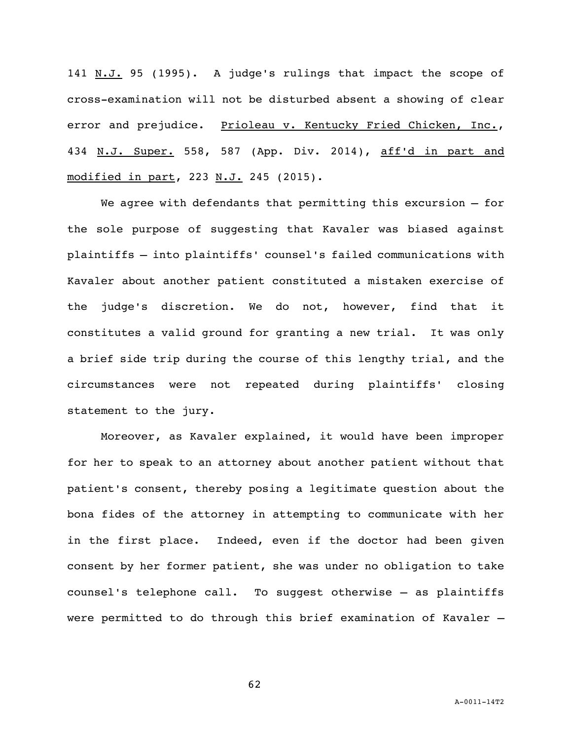141 N.J. 95 (1995). A judge's rulings that impact the scope of cross-examination will not be disturbed absent a showing of clear error and prejudice. Prioleau v. Kentucky Fried Chicken, Inc., 434 N.J. Super. 558, 587 (App. Div. 2014), aff'd in part and modified in part, 223 N.J. 245 (2015).

We agree with defendants that permitting this excursion — for the sole purpose of suggesting that Kavaler was biased against plaintiffs — into plaintiffs' counsel's failed communications with Kavaler about another patient constituted a mistaken exercise of the judge's discretion. We do not, however, find that it constitutes a valid ground for granting a new trial. It was only a brief side trip during the course of this lengthy trial, and the circumstances were not repeated during plaintiffs' closing statement to the jury.

Moreover, as Kavaler explained, it would have been improper for her to speak to an attorney about another patient without that patient's consent, thereby posing a legitimate question about the bona fides of the attorney in attempting to communicate with her in the first place. Indeed, even if the doctor had been given consent by her former patient, she was under no obligation to take counsel's telephone call. To suggest otherwise — as plaintiffs were permitted to do through this brief examination of Kavaler —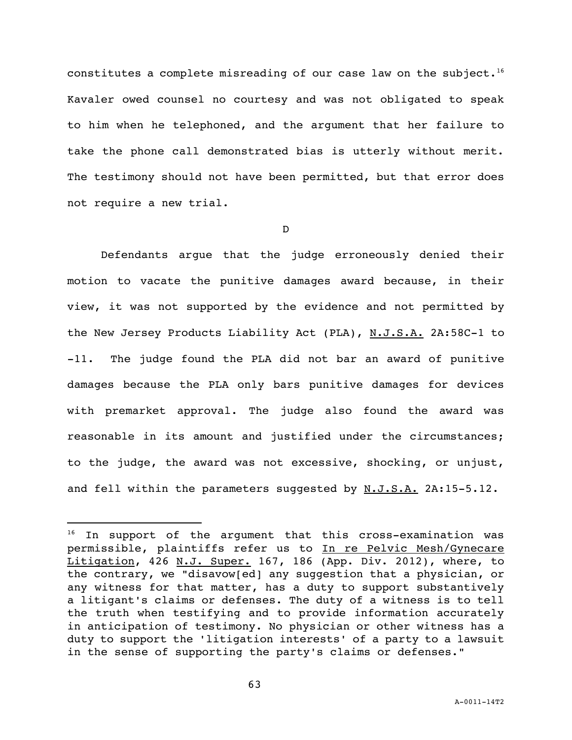constitutes a complete misreading of our case law on the subject.<sup>16</sup> Kavaler owed counsel no courtesy and was not obligated to speak to him when he telephoned, and the argument that her failure to take the phone call demonstrated bias is utterly without merit. The testimony should not have been permitted, but that error does not require a new trial.

D

Defendants argue that the judge erroneously denied their motion to vacate the punitive damages award because, in their view, it was not supported by the evidence and not permitted by the New Jersey Products Liability Act (PLA), N.J.S.A. 2A:58C-1 to -11. The judge found the PLA did not bar an award of punitive damages because the PLA only bars punitive damages for devices with premarket approval. The judge also found the award was reasonable in its amount and justified under the circumstances; to the judge, the award was not excessive, shocking, or unjust, and fell within the parameters suggested by  $N.J.S.A.$  2A:15-5.12.

i<br>L

<sup>&</sup>lt;sup>16</sup> In support of the argument that this cross-examination was permissible, plaintiffs refer us to In re Pelvic Mesh/Gynecare Litigation, 426 N.J. Super. 167, 186 (App. Div. 2012), where, to the contrary, we "disavow[ed] any suggestion that a physician, or any witness for that matter, has a duty to support substantively a litigant's claims or defenses. The duty of a witness is to tell the truth when testifying and to provide information accurately in anticipation of testimony. No physician or other witness has a duty to support the 'litigation interests' of a party to a lawsuit in the sense of supporting the party's claims or defenses."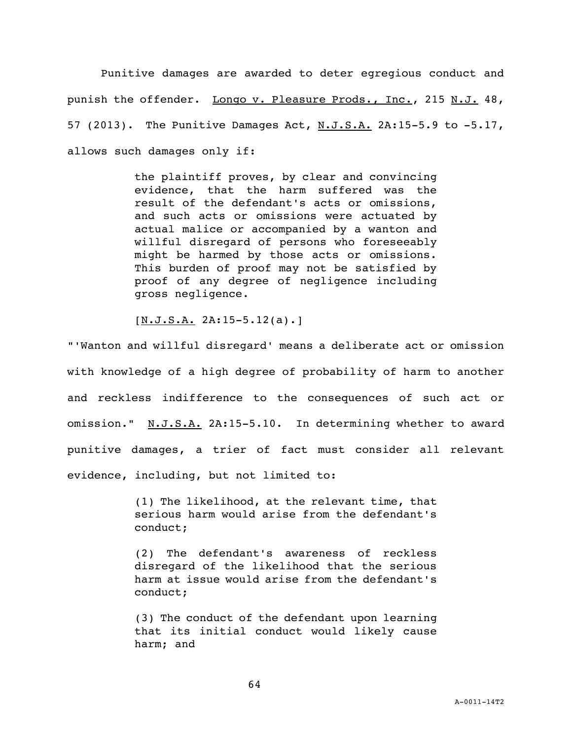Punitive damages are awarded to deter egregious conduct and punish the offender. Longo v. Pleasure Prods., Inc., 215 N.J. 48, 57 (2013). The Punitive Damages Act, N.J.S.A. 2A:15-5.9 to -5.17, allows such damages only if:

> the plaintiff proves, by clear and convincing evidence, that the harm suffered was the result of the defendant's acts or omissions, and such acts or omissions were actuated by actual malice or accompanied by a wanton and willful disregard of persons who foreseeably might be harmed by those acts or omissions. This burden of proof may not be satisfied by proof of any degree of negligence including gross negligence.

 $[N.J.S.A. 2A:15-5.12(a).]$ 

"'Wanton and willful disregard' means a deliberate act or omission with knowledge of a high degree of probability of harm to another and reckless indifference to the consequences of such act or omission." N.J.S.A. 2A:15-5.10. In determining whether to award punitive damages, a trier of fact must consider all relevant evidence, including, but not limited to:

> (1) The likelihood, at the relevant time, that serious harm would arise from the defendant's conduct;

> (2) The defendant's awareness of reckless disregard of the likelihood that the serious harm at issue would arise from the defendant's conduct;

> (3) The conduct of the defendant upon learning that its initial conduct would likely cause harm; and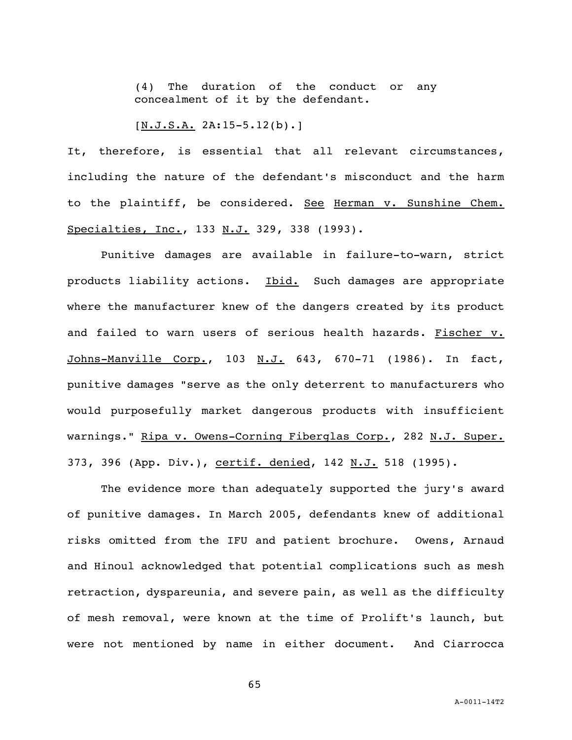(4) The duration of the conduct or any concealment of it by the defendant.

 $[N.J.S.A. 2A:15-5.12(b).]$ 

It, therefore, is essential that all relevant circumstances, including the nature of the defendant's misconduct and the harm to the plaintiff, be considered. See Herman v. Sunshine Chem. Specialties, Inc., 133 N.J. 329, 338 (1993).

Punitive damages are available in failure-to-warn, strict products liability actions. Ibid. Such damages are appropriate where the manufacturer knew of the dangers created by its product and failed to warn users of serious health hazards. Fischer v. Johns-Manville Corp., 103 N.J. 643, 670-71 (1986). In fact, punitive damages "serve as the only deterrent to manufacturers who would purposefully market dangerous products with insufficient warnings." Ripa v. Owens-Corning Fiberglas Corp., 282 N.J. Super. 373, 396 (App. Div.), certif. denied, 142 N.J. 518 (1995).

The evidence more than adequately supported the jury's award of punitive damages. In March 2005, defendants knew of additional risks omitted from the IFU and patient brochure. Owens, Arnaud and Hinoul acknowledged that potential complications such as mesh retraction, dyspareunia, and severe pain, as well as the difficulty of mesh removal, were known at the time of Prolift's launch, but were not mentioned by name in either document. And Ciarrocca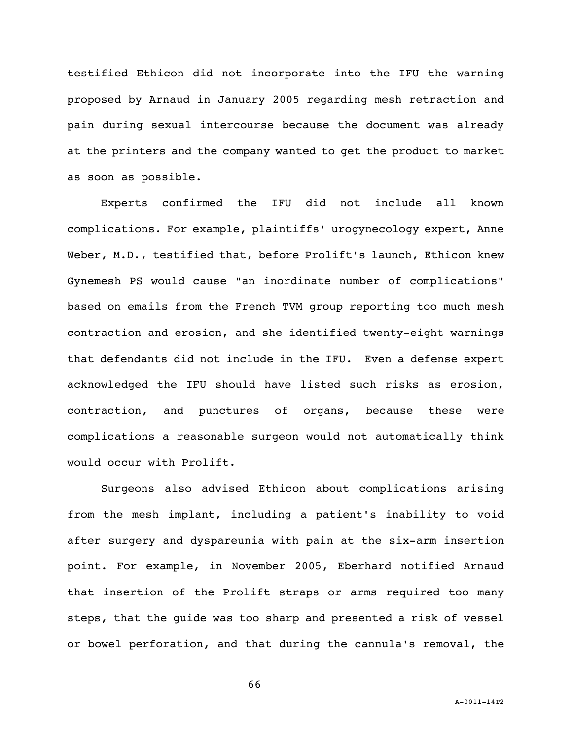testified Ethicon did not incorporate into the IFU the warning proposed by Arnaud in January 2005 regarding mesh retraction and pain during sexual intercourse because the document was already at the printers and the company wanted to get the product to market as soon as possible.

Experts confirmed the IFU did not include all known complications. For example, plaintiffs' urogynecology expert, Anne Weber, M.D., testified that, before Prolift's launch, Ethicon knew Gynemesh PS would cause "an inordinate number of complications" based on emails from the French TVM group reporting too much mesh contraction and erosion, and she identified twenty-eight warnings that defendants did not include in the IFU. Even a defense expert acknowledged the IFU should have listed such risks as erosion, contraction, and punctures of organs, because these were complications a reasonable surgeon would not automatically think would occur with Prolift.

Surgeons also advised Ethicon about complications arising from the mesh implant, including a patient's inability to void after surgery and dyspareunia with pain at the six-arm insertion point. For example, in November 2005, Eberhard notified Arnaud that insertion of the Prolift straps or arms required too many steps, that the guide was too sharp and presented a risk of vessel or bowel perforation, and that during the cannula's removal, the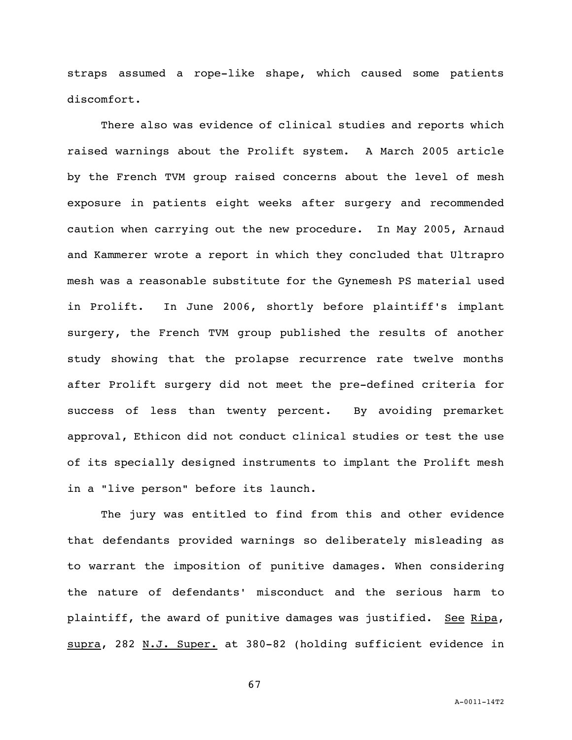straps assumed a rope-like shape, which caused some patients discomfort.

There also was evidence of clinical studies and reports which raised warnings about the Prolift system. A March 2005 article by the French TVM group raised concerns about the level of mesh exposure in patients eight weeks after surgery and recommended caution when carrying out the new procedure. In May 2005, Arnaud and Kammerer wrote a report in which they concluded that Ultrapro mesh was a reasonable substitute for the Gynemesh PS material used in Prolift. In June 2006, shortly before plaintiff's implant surgery, the French TVM group published the results of another study showing that the prolapse recurrence rate twelve months after Prolift surgery did not meet the pre-defined criteria for success of less than twenty percent. By avoiding premarket approval, Ethicon did not conduct clinical studies or test the use of its specially designed instruments to implant the Prolift mesh in a "live person" before its launch.

The jury was entitled to find from this and other evidence that defendants provided warnings so deliberately misleading as to warrant the imposition of punitive damages. When considering the nature of defendants' misconduct and the serious harm to plaintiff, the award of punitive damages was justified. See Ripa, supra, 282 N.J. Super. at 380-82 (holding sufficient evidence in